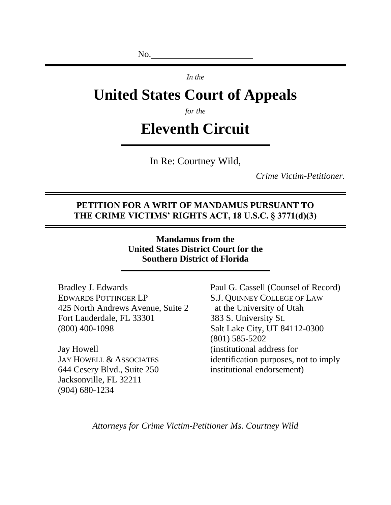No.

*In the*

# **United States Court of Appeals**

*for the*

# **Eleventh Circuit**

In Re: Courtney Wild,

*Crime Victim-Petitioner.*

#### **PETITION FOR A WRIT OF MANDAMUS PURSUANT TO THE CRIME VICTIMS' RIGHTS ACT, 18 U.S.C. § 3771(d)(3)**

**Mandamus from the United States District Court for the Southern District of Florida**

Bradley J. Edwards EDWARDS POTTINGER LP 425 North Andrews Avenue, Suite 2 Fort Lauderdale, FL 33301 (800) 400-1098

Jay Howell JAY HOWELL & ASSOCIATES 644 Cesery Blvd., Suite 250 Jacksonville, FL 32211 (904) 680-1234

Paul G. Cassell (Counsel of Record) S.J. QUINNEY COLLEGE OF LAW at the University of Utah 383 S. University St. Salt Lake City, UT 84112-0300 (801) 585-5202 (institutional address for identification purposes, not to imply institutional endorsement)

*Attorneys for Crime Victim-Petitioner Ms. Courtney Wild*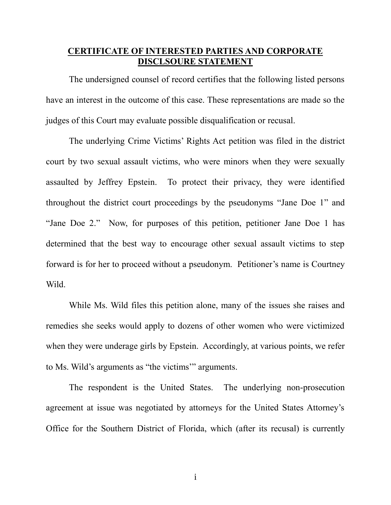## **CERTIFICATE OF INTERESTED PARTIES AND CORPORATE DISCLSOURE STATEMENT**

The undersigned counsel of record certifies that the following listed persons have an interest in the outcome of this case. These representations are made so the judges of this Court may evaluate possible disqualification or recusal.

The underlying Crime Victims' Rights Act petition was filed in the district court by two sexual assault victims, who were minors when they were sexually assaulted by Jeffrey Epstein. To protect their privacy, they were identified throughout the district court proceedings by the pseudonyms "Jane Doe 1" and "Jane Doe 2." Now, for purposes of this petition, petitioner Jane Doe 1 has determined that the best way to encourage other sexual assault victims to step forward is for her to proceed without a pseudonym. Petitioner's name is Courtney Wild.

While Ms. Wild files this petition alone, many of the issues she raises and remedies she seeks would apply to dozens of other women who were victimized when they were underage girls by Epstein. Accordingly, at various points, we refer to Ms. Wild's arguments as "the victims'" arguments.

The respondent is the United States. The underlying non-prosecution agreement at issue was negotiated by attorneys for the United States Attorney's Office for the Southern District of Florida, which (after its recusal) is currently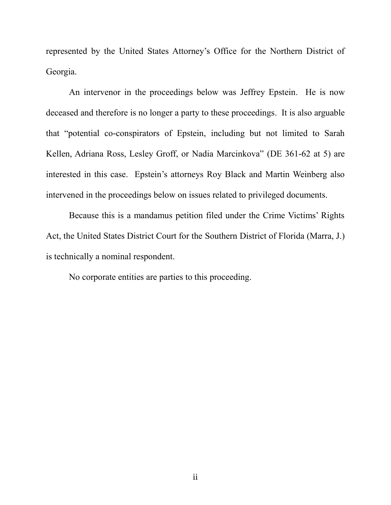represented by the United States Attorney's Office for the Northern District of Georgia.

An intervenor in the proceedings below was Jeffrey Epstein. He is now deceased and therefore is no longer a party to these proceedings. It is also arguable that "potential co-conspirators of Epstein, including but not limited to Sarah Kellen, Adriana Ross, Lesley Groff, or Nadia Marcinkova" (DE 361-62 at 5) are interested in this case. Epstein's attorneys Roy Black and Martin Weinberg also intervened in the proceedings below on issues related to privileged documents.

Because this is a mandamus petition filed under the Crime Victims' Rights Act, the United States District Court for the Southern District of Florida (Marra, J.) is technically a nominal respondent.

No corporate entities are parties to this proceeding.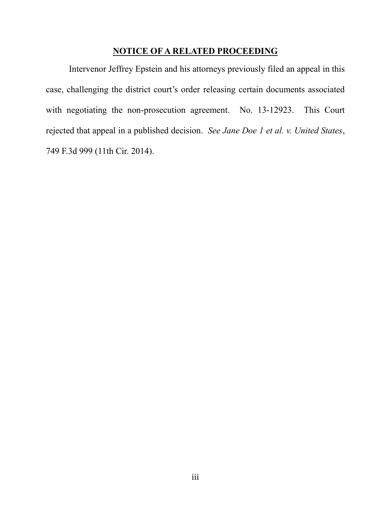#### **NOTICE OF A RELATED PROCEEDING**

Intervenor Jeffrey Epstein and his attorneys previously filed an appeal in this case, challenging the district court's order releasing certain documents associated with negotiating the non-prosecution agreement. No. 13-12923. This Court rejected that appeal in a published decision. *See Jane Doe 1 et al. v. United States*, 749 F.3d 999 (11th Cir. 2014).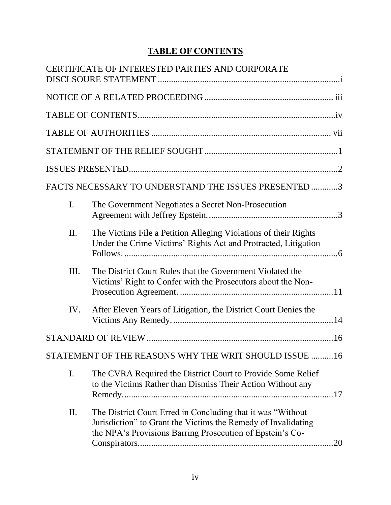# **TABLE OF CONTENTS**

|     | <b>CERTIFICATE OF INTERESTED PARTIES AND CORPORATE</b>                                                                                                                                     |  |
|-----|--------------------------------------------------------------------------------------------------------------------------------------------------------------------------------------------|--|
|     |                                                                                                                                                                                            |  |
|     |                                                                                                                                                                                            |  |
|     |                                                                                                                                                                                            |  |
|     |                                                                                                                                                                                            |  |
|     |                                                                                                                                                                                            |  |
|     | FACTS NECESSARY TO UNDERSTAND THE ISSUES PRESENTED 3                                                                                                                                       |  |
| I.  | The Government Negotiates a Secret Non-Prosecution                                                                                                                                         |  |
| II. | The Victims File a Petition Alleging Violations of their Rights<br>Under the Crime Victims' Rights Act and Protracted, Litigation                                                          |  |
| Ш.  | The District Court Rules that the Government Violated the<br>Victims' Right to Confer with the Prosecutors about the Non-                                                                  |  |
| IV. | After Eleven Years of Litigation, the District Court Denies the                                                                                                                            |  |
|     |                                                                                                                                                                                            |  |
|     | STATEMENT OF THE REASONS WHY THE WRIT SHOULD ISSUE 16                                                                                                                                      |  |
| I.  | The CVRA Required the District Court to Provide Some Relief<br>to the Victims Rather than Dismiss Their Action Without any                                                                 |  |
| II. | The District Court Erred in Concluding that it was "Without"<br>Jurisdiction" to Grant the Victims the Remedy of Invalidating<br>the NPA's Provisions Barring Prosecution of Epstein's Co- |  |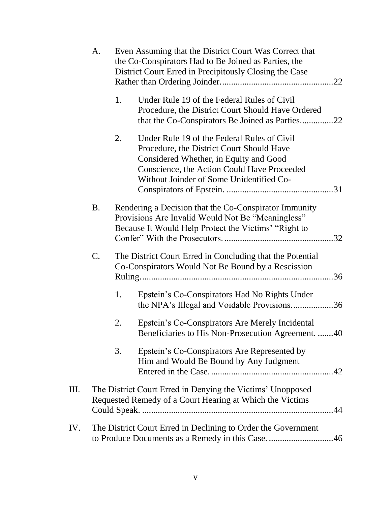|     | A.        |    | Even Assuming that the District Court Was Correct that<br>the Co-Conspirators Had to Be Joined as Parties, the<br>District Court Erred in Precipitously Closing the Case                                                      |
|-----|-----------|----|-------------------------------------------------------------------------------------------------------------------------------------------------------------------------------------------------------------------------------|
|     |           | 1. | Under Rule 19 of the Federal Rules of Civil<br>Procedure, the District Court Should Have Ordered<br>that the Co-Conspirators Be Joined as Parties<br>.22                                                                      |
|     |           | 2. | Under Rule 19 of the Federal Rules of Civil<br>Procedure, the District Court Should Have<br>Considered Whether, in Equity and Good<br>Conscience, the Action Could Have Proceeded<br>Without Joinder of Some Unidentified Co- |
|     | <b>B.</b> |    | Rendering a Decision that the Co-Conspirator Immunity<br>Provisions Are Invalid Would Not Be "Meaningless"<br>Because It Would Help Protect the Victims' "Right to                                                            |
|     | C.        |    | The District Court Erred in Concluding that the Potential<br>Co-Conspirators Would Not Be Bound by a Rescission                                                                                                               |
|     |           | 1. | Epstein's Co-Conspirators Had No Rights Under<br>the NPA's Illegal and Voidable Provisions36                                                                                                                                  |
|     |           | 2. | Epstein's Co-Conspirators Are Merely Incidental<br>Beneficiaries to His Non-Prosecution Agreement. 40                                                                                                                         |
|     |           | 3. | Epstein's Co-Conspirators Are Represented by<br>Him and Would Be Bound by Any Judgment                                                                                                                                        |
| Ш.  |           |    | The District Court Erred in Denying the Victims' Unopposed<br>Requested Remedy of a Court Hearing at Which the Victims                                                                                                        |
| IV. |           |    | The District Court Erred in Declining to Order the Government<br>to Produce Documents as a Remedy in this Case46                                                                                                              |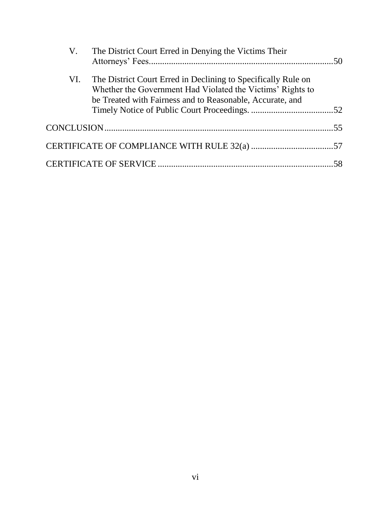|     | V. The District Court Erred in Denying the Victims Their                                                                                                                                 |  |
|-----|------------------------------------------------------------------------------------------------------------------------------------------------------------------------------------------|--|
| VI. | The District Court Erred in Declining to Specifically Rule on<br>Whether the Government Had Violated the Victims' Rights to<br>be Treated with Fairness and to Reasonable, Accurate, and |  |
|     |                                                                                                                                                                                          |  |
|     |                                                                                                                                                                                          |  |
|     |                                                                                                                                                                                          |  |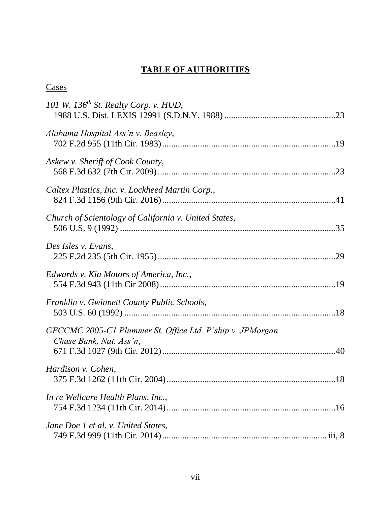# **TABLE OF AUTHORITIES**

## **Cases**

| 101 W. 136 <sup>th</sup> St. Realty Corp. v. HUD,                                    |
|--------------------------------------------------------------------------------------|
| Alabama Hospital Ass'n v. Beasley,                                                   |
| Askew v. Sheriff of Cook County,                                                     |
| Caltex Plastics, Inc. v. Lockheed Martin Corp.,                                      |
| Church of Scientology of California v. United States,                                |
| Des Isles v. Evans,                                                                  |
| Edwards v. Kia Motors of America, Inc.,                                              |
| Franklin v. Gwinnett County Public Schools,                                          |
| GECCMC 2005-C1 Plummer St. Office Ltd. P'ship v. JPMorgan<br>Chase Bank, Nat. Ass'n, |
| Hardison v. Cohen,                                                                   |
| In re Wellcare Health Plans, Inc.,                                                   |
| Jane Doe 1 et al. v. United States,                                                  |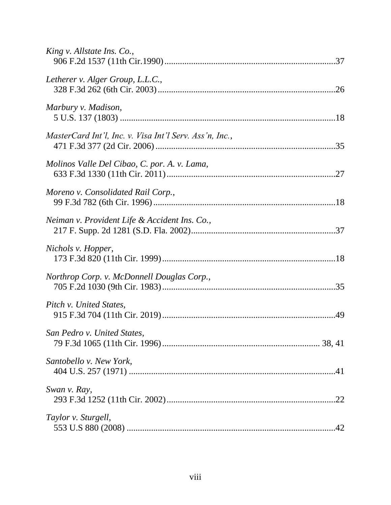| King v. Allstate Ins. Co.,                              |
|---------------------------------------------------------|
| Letherer v. Alger Group, L.L.C.,                        |
| Marbury v. Madison,                                     |
| MasterCard Int'l, Inc. v. Visa Int'l Serv. Ass'n, Inc., |
| Molinos Valle Del Cibao, C. por. A. v. Lama,            |
| Moreno v. Consolidated Rail Corp.,                      |
| Neiman v. Provident Life & Accident Ins. Co.,           |
| Nichols v. Hopper,                                      |
| Northrop Corp. v. McDonnell Douglas Corp.,              |
| Pitch v. United States,                                 |
| San Pedro v. United States,                             |
| Santobello v. New York,                                 |
| Swan v. Ray,                                            |
| Taylor v. Sturgell,                                     |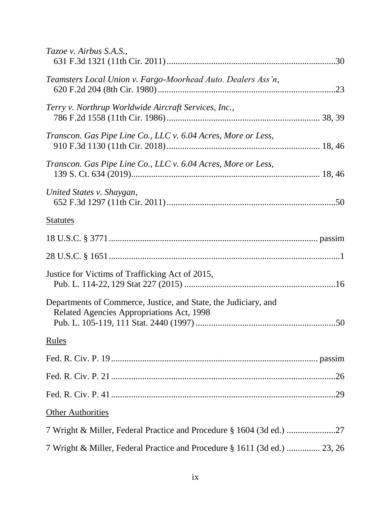| Tazoe v. Airbus S.A.S.,                                                                                      |
|--------------------------------------------------------------------------------------------------------------|
| Teamsters Local Union v. Fargo-Moorhead Auto. Dealers Ass'n,                                                 |
| Terry v. Northrup Worldwide Aircraft Services, Inc.,                                                         |
| Transcon. Gas Pipe Line Co., LLC v. 6.04 Acres, More or Less,                                                |
| Transcon. Gas Pipe Line Co., LLC v. 6.04 Acres, More or Less,                                                |
| United States v. Shaygan,                                                                                    |
| <b>Statutes</b>                                                                                              |
|                                                                                                              |
|                                                                                                              |
| Justice for Victims of Trafficking Act of 2015,                                                              |
| Departments of Commerce, Justice, and State, the Judiciary, and<br>Related Agencies Appropriations Act, 1998 |
| Rules                                                                                                        |
|                                                                                                              |
|                                                                                                              |
|                                                                                                              |
| <b>Other Authorities</b>                                                                                     |
|                                                                                                              |
| 7 Wright & Miller, Federal Practice and Procedure § 1611 (3d ed.)  23, 26                                    |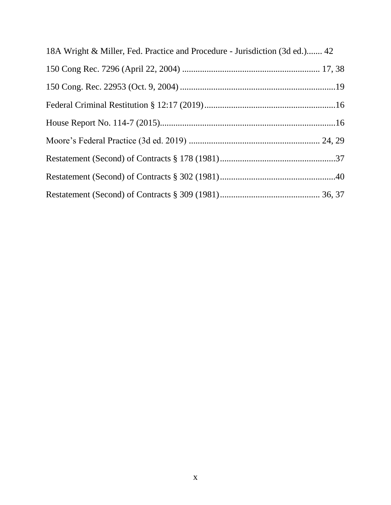| 18A Wright & Miller, Fed. Practice and Procedure - Jurisdiction (3d ed.) 42 |  |
|-----------------------------------------------------------------------------|--|
|                                                                             |  |
|                                                                             |  |
|                                                                             |  |
|                                                                             |  |
|                                                                             |  |
|                                                                             |  |
|                                                                             |  |
|                                                                             |  |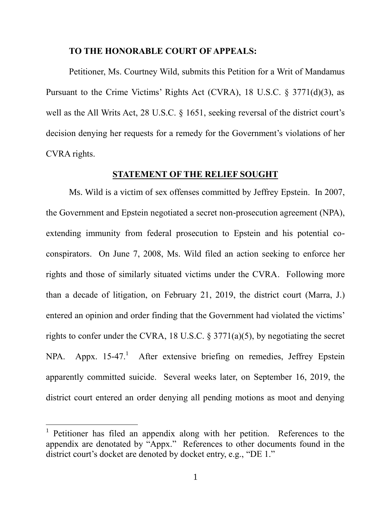#### **TO THE HONORABLE COURT OF APPEALS:**

Petitioner, Ms. Courtney Wild, submits this Petition for a Writ of Mandamus Pursuant to the Crime Victims' Rights Act (CVRA), 18 U.S.C. § 3771(d)(3), as well as the All Writs Act, 28 U.S.C. § 1651, seeking reversal of the district court's decision denying her requests for a remedy for the Government's violations of her CVRA rights.

#### **STATEMENT OF THE RELIEF SOUGHT**

Ms. Wild is a victim of sex offenses committed by Jeffrey Epstein. In 2007, the Government and Epstein negotiated a secret non-prosecution agreement (NPA), extending immunity from federal prosecution to Epstein and his potential coconspirators. On June 7, 2008, Ms. Wild filed an action seeking to enforce her rights and those of similarly situated victims under the CVRA. Following more than a decade of litigation, on February 21, 2019, the district court (Marra, J.) entered an opinion and order finding that the Government had violated the victims' rights to confer under the CVRA, 18 U.S.C. § 3771(a)(5), by negotiating the secret NPA. Appx. 15-47.<sup>1</sup> After extensive briefing on remedies, Jeffrey Epstein apparently committed suicide. Several weeks later, on September 16, 2019, the district court entered an order denying all pending motions as moot and denying

 $\overline{a}$ 

<sup>1</sup> Petitioner has filed an appendix along with her petition. References to the appendix are denotated by "Appx." References to other documents found in the district court's docket are denoted by docket entry, e.g., "DE 1."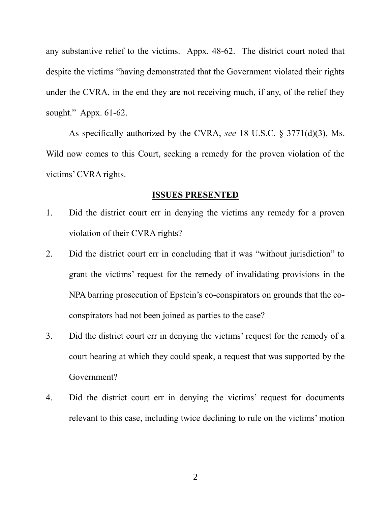any substantive relief to the victims. Appx. 48-62. The district court noted that despite the victims "having demonstrated that the Government violated their rights under the CVRA, in the end they are not receiving much, if any, of the relief they sought." Appx. 61-62.

As specifically authorized by the CVRA, *see* 18 U.S.C. § 3771(d)(3), Ms. Wild now comes to this Court, seeking a remedy for the proven violation of the victims' CVRA rights.

#### **ISSUES PRESENTED**

- 1. Did the district court err in denying the victims any remedy for a proven violation of their CVRA rights?
- 2. Did the district court err in concluding that it was "without jurisdiction" to grant the victims' request for the remedy of invalidating provisions in the NPA barring prosecution of Epstein's co-conspirators on grounds that the coconspirators had not been joined as parties to the case?
- 3. Did the district court err in denying the victims' request for the remedy of a court hearing at which they could speak, a request that was supported by the Government?
- 4. Did the district court err in denying the victims' request for documents relevant to this case, including twice declining to rule on the victims' motion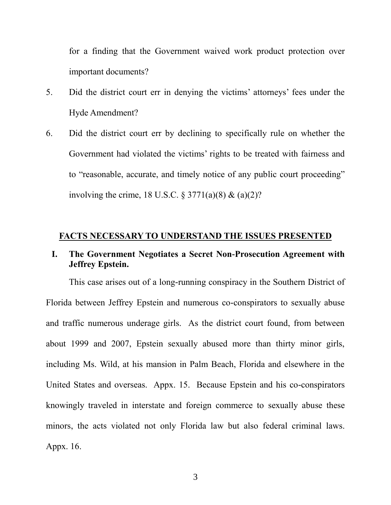for a finding that the Government waived work product protection over important documents?

- 5. Did the district court err in denying the victims' attorneys' fees under the Hyde Amendment?
- 6. Did the district court err by declining to specifically rule on whether the Government had violated the victims' rights to be treated with fairness and to "reasonable, accurate, and timely notice of any public court proceeding" involving the crime, 18 U.S.C.  $\S 3771(a)(8) \& (a)(2)?$

#### **FACTS NECESSARY TO UNDERSTAND THE ISSUES PRESENTED**

## **I. The Government Negotiates a Secret Non-Prosecution Agreement with Jeffrey Epstein.**

This case arises out of a long-running conspiracy in the Southern District of Florida between Jeffrey Epstein and numerous co-conspirators to sexually abuse and traffic numerous underage girls. As the district court found, from between about 1999 and 2007, Epstein sexually abused more than thirty minor girls, including Ms. Wild, at his mansion in Palm Beach, Florida and elsewhere in the United States and overseas. Appx. 15. Because Epstein and his co-conspirators knowingly traveled in interstate and foreign commerce to sexually abuse these minors, the acts violated not only Florida law but also federal criminal laws. Appx. 16.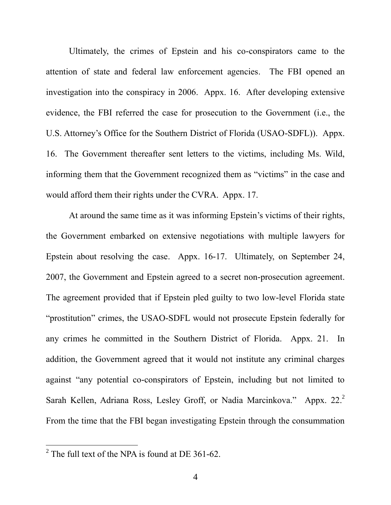Ultimately, the crimes of Epstein and his co-conspirators came to the attention of state and federal law enforcement agencies. The FBI opened an investigation into the conspiracy in 2006. Appx. 16. After developing extensive evidence, the FBI referred the case for prosecution to the Government (i.e., the U.S. Attorney's Office for the Southern District of Florida (USAO-SDFL)). Appx. 16. The Government thereafter sent letters to the victims, including Ms. Wild, informing them that the Government recognized them as "victims" in the case and would afford them their rights under the CVRA. Appx. 17.

At around the same time as it was informing Epstein's victims of their rights, the Government embarked on extensive negotiations with multiple lawyers for Epstein about resolving the case. Appx. 16-17. Ultimately, on September 24, 2007, the Government and Epstein agreed to a secret non-prosecution agreement. The agreement provided that if Epstein pled guilty to two low-level Florida state "prostitution" crimes, the USAO-SDFL would not prosecute Epstein federally for any crimes he committed in the Southern District of Florida. Appx. 21. In addition, the Government agreed that it would not institute any criminal charges against "any potential co-conspirators of Epstein, including but not limited to Sarah Kellen, Adriana Ross, Lesley Groff, or Nadia Marcinkova." Appx. 22.<sup>2</sup> From the time that the FBI began investigating Epstein through the consummation

 $\overline{a}$ 

<sup>&</sup>lt;sup>2</sup> The full text of the NPA is found at DE 361-62.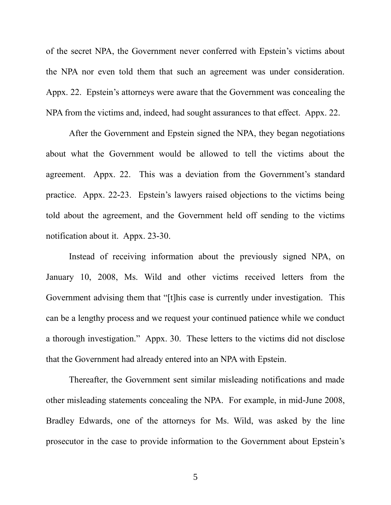of the secret NPA, the Government never conferred with Epstein's victims about the NPA nor even told them that such an agreement was under consideration. Appx. 22. Epstein's attorneys were aware that the Government was concealing the NPA from the victims and, indeed, had sought assurances to that effect. Appx. 22.

After the Government and Epstein signed the NPA, they began negotiations about what the Government would be allowed to tell the victims about the agreement. Appx. 22. This was a deviation from the Government's standard practice. Appx. 22-23. Epstein's lawyers raised objections to the victims being told about the agreement, and the Government held off sending to the victims notification about it. Appx. 23-30.

Instead of receiving information about the previously signed NPA, on January 10, 2008, Ms. Wild and other victims received letters from the Government advising them that "[t]his case is currently under investigation. This can be a lengthy process and we request your continued patience while we conduct a thorough investigation." Appx. 30. These letters to the victims did not disclose that the Government had already entered into an NPA with Epstein.

Thereafter, the Government sent similar misleading notifications and made other misleading statements concealing the NPA. For example, in mid-June 2008, Bradley Edwards, one of the attorneys for Ms. Wild, was asked by the line prosecutor in the case to provide information to the Government about Epstein's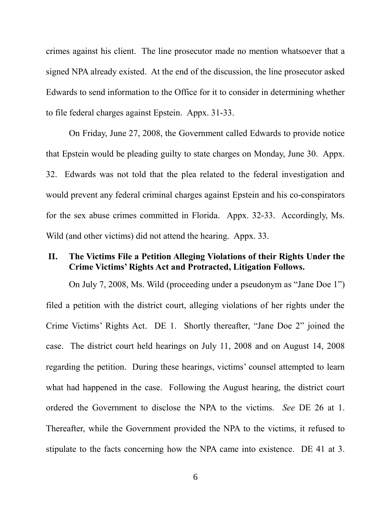crimes against his client. The line prosecutor made no mention whatsoever that a signed NPA already existed. At the end of the discussion, the line prosecutor asked Edwards to send information to the Office for it to consider in determining whether to file federal charges against Epstein. Appx. 31-33.

On Friday, June 27, 2008, the Government called Edwards to provide notice that Epstein would be pleading guilty to state charges on Monday, June 30. Appx. 32. Edwards was not told that the plea related to the federal investigation and would prevent any federal criminal charges against Epstein and his co-conspirators for the sex abuse crimes committed in Florida. Appx. 32-33. Accordingly, Ms. Wild (and other victims) did not attend the hearing. Appx. 33.

#### **II. The Victims File a Petition Alleging Violations of their Rights Under the Crime Victims' Rights Act and Protracted, Litigation Follows.**

On July 7, 2008, Ms. Wild (proceeding under a pseudonym as "Jane Doe 1") filed a petition with the district court, alleging violations of her rights under the Crime Victims' Rights Act. DE 1. Shortly thereafter, "Jane Doe 2" joined the case. The district court held hearings on July 11, 2008 and on August 14, 2008 regarding the petition. During these hearings, victims' counsel attempted to learn what had happened in the case. Following the August hearing, the district court ordered the Government to disclose the NPA to the victims. *See* DE 26 at 1. Thereafter, while the Government provided the NPA to the victims, it refused to stipulate to the facts concerning how the NPA came into existence. DE 41 at 3.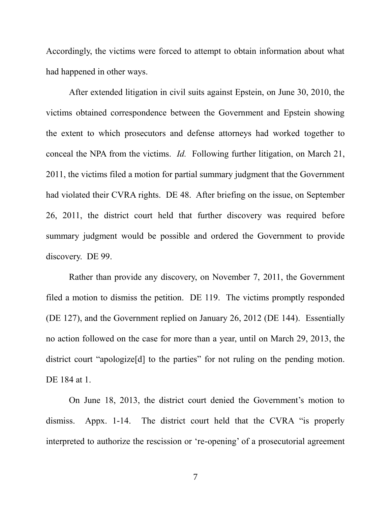Accordingly, the victims were forced to attempt to obtain information about what had happened in other ways.

After extended litigation in civil suits against Epstein, on June 30, 2010, the victims obtained correspondence between the Government and Epstein showing the extent to which prosecutors and defense attorneys had worked together to conceal the NPA from the victims. *Id.* Following further litigation, on March 21, 2011, the victims filed a motion for partial summary judgment that the Government had violated their CVRA rights. DE 48. After briefing on the issue, on September 26, 2011, the district court held that further discovery was required before summary judgment would be possible and ordered the Government to provide discovery. DE 99.

Rather than provide any discovery, on November 7, 2011, the Government filed a motion to dismiss the petition. DE 119. The victims promptly responded (DE 127), and the Government replied on January 26, 2012 (DE 144). Essentially no action followed on the case for more than a year, until on March 29, 2013, the district court "apologize[d] to the parties" for not ruling on the pending motion. DE 184 at 1.

On June 18, 2013, the district court denied the Government's motion to dismiss. Appx. 1-14. The district court held that the CVRA "is properly interpreted to authorize the rescission or 're-opening' of a prosecutorial agreement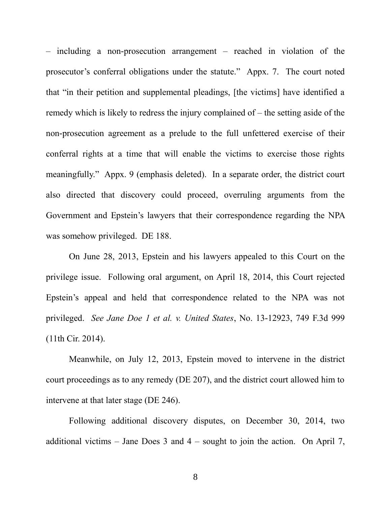– including a non-prosecution arrangement – reached in violation of the prosecutor's conferral obligations under the statute." Appx. 7. The court noted that "in their petition and supplemental pleadings, [the victims] have identified a remedy which is likely to redress the injury complained of – the setting aside of the non-prosecution agreement as a prelude to the full unfettered exercise of their conferral rights at a time that will enable the victims to exercise those rights meaningfully." Appx. 9 (emphasis deleted). In a separate order, the district court also directed that discovery could proceed, overruling arguments from the Government and Epstein's lawyers that their correspondence regarding the NPA was somehow privileged. DE 188.

On June 28, 2013, Epstein and his lawyers appealed to this Court on the privilege issue. Following oral argument, on April 18, 2014, this Court rejected Epstein's appeal and held that correspondence related to the NPA was not privileged. *See Jane Doe 1 et al. v. United States*, No. 13-12923, 749 F.3d 999 (11th Cir. 2014).

Meanwhile, on July 12, 2013, Epstein moved to intervene in the district court proceedings as to any remedy (DE 207), and the district court allowed him to intervene at that later stage (DE 246).

Following additional discovery disputes, on December 30, 2014, two additional victims – Jane Does  $3$  and  $4$  – sought to join the action. On April 7,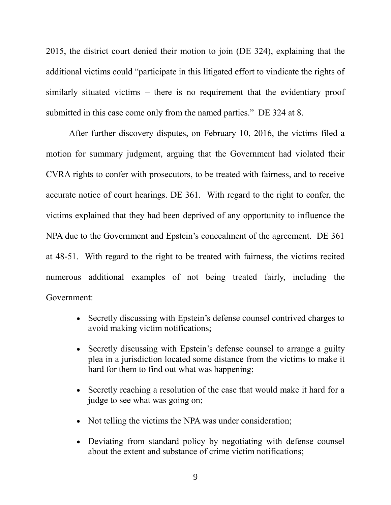2015, the district court denied their motion to join (DE 324), explaining that the additional victims could "participate in this litigated effort to vindicate the rights of similarly situated victims – there is no requirement that the evidentiary proof submitted in this case come only from the named parties." DE 324 at 8.

After further discovery disputes, on February 10, 2016, the victims filed a motion for summary judgment, arguing that the Government had violated their CVRA rights to confer with prosecutors, to be treated with fairness, and to receive accurate notice of court hearings. DE 361. With regard to the right to confer, the victims explained that they had been deprived of any opportunity to influence the NPA due to the Government and Epstein's concealment of the agreement. DE 361 at 48-51. With regard to the right to be treated with fairness, the victims recited numerous additional examples of not being treated fairly, including the Government:

- Secretly discussing with Epstein's defense counsel contrived charges to avoid making victim notifications;
- Secretly discussing with Epstein's defense counsel to arrange a guilty plea in a jurisdiction located some distance from the victims to make it hard for them to find out what was happening;
- Secretly reaching a resolution of the case that would make it hard for a judge to see what was going on;
- Not telling the victims the NPA was under consideration;
- Deviating from standard policy by negotiating with defense counsel about the extent and substance of crime victim notifications;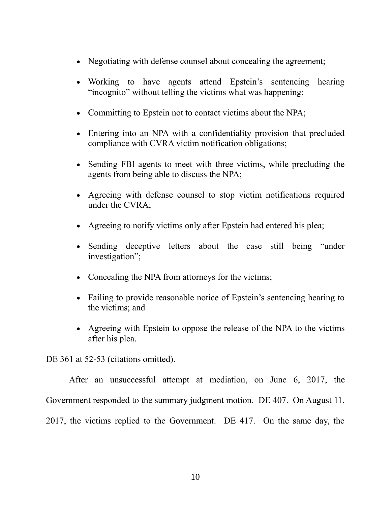- Negotiating with defense counsel about concealing the agreement;
- Working to have agents attend Epstein's sentencing hearing "incognito" without telling the victims what was happening;
- Committing to Epstein not to contact victims about the NPA;
- Entering into an NPA with a confidentiality provision that precluded compliance with CVRA victim notification obligations;
- Sending FBI agents to meet with three victims, while precluding the agents from being able to discuss the NPA;
- Agreeing with defense counsel to stop victim notifications required under the CVRA;
- Agreeing to notify victims only after Epstein had entered his plea;
- Sending deceptive letters about the case still being "under investigation";
- Concealing the NPA from attorneys for the victims;
- Failing to provide reasonable notice of Epstein's sentencing hearing to the victims; and
- Agreeing with Epstein to oppose the release of the NPA to the victims after his plea.

DE 361 at 52-53 (citations omitted).

After an unsuccessful attempt at mediation, on June 6, 2017, the Government responded to the summary judgment motion. DE 407. On August 11, 2017, the victims replied to the Government. DE 417. On the same day, the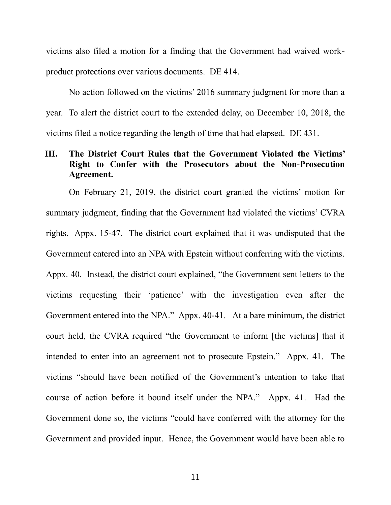victims also filed a motion for a finding that the Government had waived workproduct protections over various documents. DE 414.

No action followed on the victims' 2016 summary judgment for more than a year. To alert the district court to the extended delay, on December 10, 2018, the victims filed a notice regarding the length of time that had elapsed. DE 431.

#### **III. The District Court Rules that the Government Violated the Victims' Right to Confer with the Prosecutors about the Non-Prosecution Agreement.**

On February 21, 2019, the district court granted the victims' motion for summary judgment, finding that the Government had violated the victims' CVRA rights. Appx. 15-47. The district court explained that it was undisputed that the Government entered into an NPA with Epstein without conferring with the victims. Appx. 40. Instead, the district court explained, "the Government sent letters to the victims requesting their 'patience' with the investigation even after the Government entered into the NPA." Appx. 40-41. At a bare minimum, the district court held, the CVRA required "the Government to inform [the victims] that it intended to enter into an agreement not to prosecute Epstein." Appx. 41. The victims "should have been notified of the Government's intention to take that course of action before it bound itself under the NPA." Appx. 41. Had the Government done so, the victims "could have conferred with the attorney for the Government and provided input. Hence, the Government would have been able to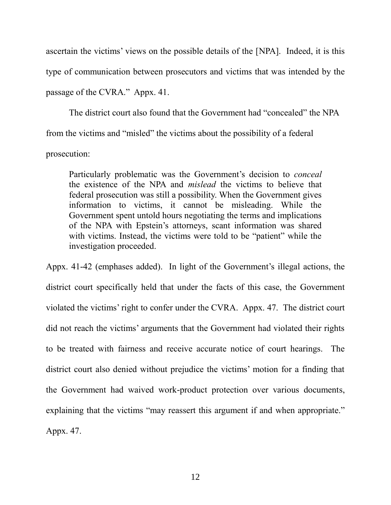ascertain the victims' views on the possible details of the [NPA]. Indeed, it is this type of communication between prosecutors and victims that was intended by the passage of the CVRA." Appx. 41.

The district court also found that the Government had "concealed" the NPA from the victims and "misled" the victims about the possibility of a federal prosecution:

Particularly problematic was the Government's decision to *conceal* the existence of the NPA and *mislead* the victims to believe that federal prosecution was still a possibility. When the Government gives information to victims, it cannot be misleading. While the Government spent untold hours negotiating the terms and implications of the NPA with Epstein's attorneys, scant information was shared with victims. Instead, the victims were told to be "patient" while the investigation proceeded.

Appx. 41-42 (emphases added).In light of the Government's illegal actions, the district court specifically held that under the facts of this case, the Government violated the victims' right to confer under the CVRA. Appx. 47. The district court did not reach the victims' arguments that the Government had violated their rights to be treated with fairness and receive accurate notice of court hearings. The district court also denied without prejudice the victims' motion for a finding that the Government had waived work-product protection over various documents, explaining that the victims "may reassert this argument if and when appropriate." Appx. 47.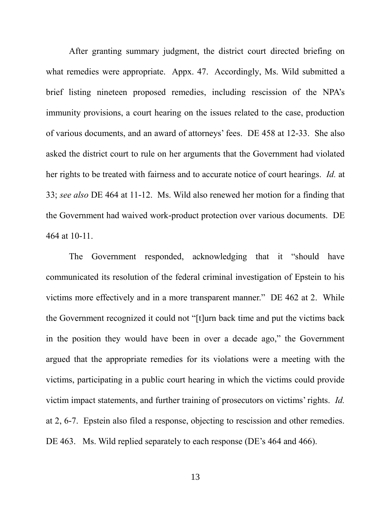After granting summary judgment, the district court directed briefing on what remedies were appropriate. Appx. 47. Accordingly, Ms. Wild submitted a brief listing nineteen proposed remedies, including rescission of the NPA's immunity provisions, a court hearing on the issues related to the case, production of various documents, and an award of attorneys' fees. DE 458 at 12-33. She also asked the district court to rule on her arguments that the Government had violated her rights to be treated with fairness and to accurate notice of court hearings. *Id.* at 33; *see also* DE 464 at 11-12. Ms. Wild also renewed her motion for a finding that the Government had waived work-product protection over various documents. DE 464 at 10-11.

The Government responded, acknowledging that it "should have communicated its resolution of the federal criminal investigation of Epstein to his victims more effectively and in a more transparent manner." DE 462 at 2. While the Government recognized it could not "[t]urn back time and put the victims back in the position they would have been in over a decade ago," the Government argued that the appropriate remedies for its violations were a meeting with the victims, participating in a public court hearing in which the victims could provide victim impact statements, and further training of prosecutors on victims' rights. *Id.*  at 2, 6-7. Epstein also filed a response, objecting to rescission and other remedies. DE 463. Ms. Wild replied separately to each response (DE's 464 and 466).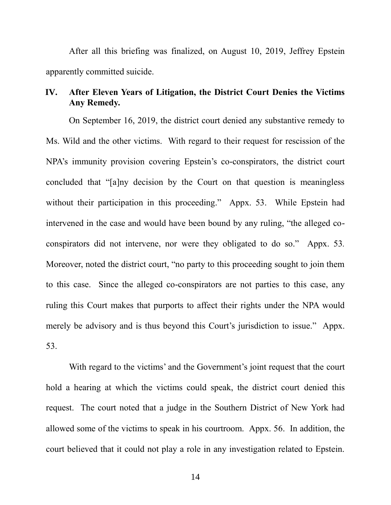After all this briefing was finalized, on August 10, 2019, Jeffrey Epstein apparently committed suicide.

### **IV. After Eleven Years of Litigation, the District Court Denies the Victims Any Remedy.**

On September 16, 2019, the district court denied any substantive remedy to Ms. Wild and the other victims. With regard to their request for rescission of the NPA's immunity provision covering Epstein's co-conspirators, the district court concluded that "[a]ny decision by the Court on that question is meaningless without their participation in this proceeding." Appx. 53. While Epstein had intervened in the case and would have been bound by any ruling, "the alleged coconspirators did not intervene, nor were they obligated to do so." Appx. 53*.*  Moreover, noted the district court, "no party to this proceeding sought to join them to this case. Since the alleged co-conspirators are not parties to this case, any ruling this Court makes that purports to affect their rights under the NPA would merely be advisory and is thus beyond this Court's jurisdiction to issue." Appx. 53.

With regard to the victims' and the Government's joint request that the court hold a hearing at which the victims could speak, the district court denied this request. The court noted that a judge in the Southern District of New York had allowed some of the victims to speak in his courtroom. Appx. 56. In addition, the court believed that it could not play a role in any investigation related to Epstein.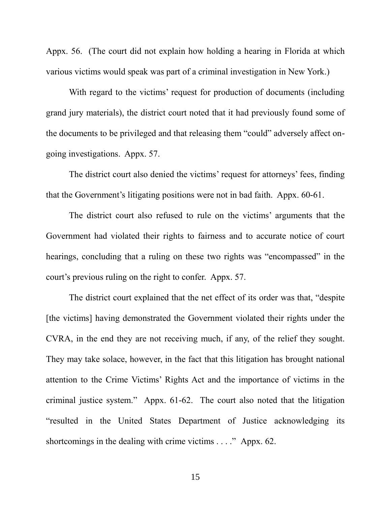Appx. 56. (The court did not explain how holding a hearing in Florida at which various victims would speak was part of a criminal investigation in New York.)

With regard to the victims' request for production of documents (including grand jury materials), the district court noted that it had previously found some of the documents to be privileged and that releasing them "could" adversely affect ongoing investigations. Appx. 57.

The district court also denied the victims' request for attorneys' fees, finding that the Government's litigating positions were not in bad faith. Appx. 60-61.

The district court also refused to rule on the victims' arguments that the Government had violated their rights to fairness and to accurate notice of court hearings, concluding that a ruling on these two rights was "encompassed" in the court's previous ruling on the right to confer. Appx. 57.

The district court explained that the net effect of its order was that, "despite [the victims] having demonstrated the Government violated their rights under the CVRA, in the end they are not receiving much, if any, of the relief they sought. They may take solace, however, in the fact that this litigation has brought national attention to the Crime Victims' Rights Act and the importance of victims in the criminal justice system." Appx. 61-62. The court also noted that the litigation "resulted in the United States Department of Justice acknowledging its shortcomings in the dealing with crime victims . . . ." Appx. 62.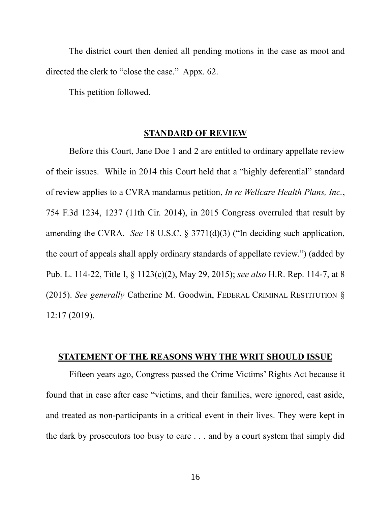The district court then denied all pending motions in the case as moot and directed the clerk to "close the case." Appx. 62.

This petition followed.

#### **STANDARD OF REVIEW**

Before this Court, Jane Doe 1 and 2 are entitled to ordinary appellate review of their issues. While in 2014 this Court held that a "highly deferential" standard of review applies to a CVRA mandamus petition, *In re Wellcare Health Plans, Inc.*, 754 F.3d 1234, 1237 (11th Cir. 2014), in 2015 Congress overruled that result by amending the CVRA. *See* 18 U.S.C. § 3771(d)(3) ("In deciding such application, the court of appeals shall apply ordinary standards of appellate review.") (added by Pub. L. 114-22, Title I, § 1123(c)(2), May 29, 2015); *see also* H.R. Rep. 114-7, at 8 (2015). *See generally* Catherine M. Goodwin, FEDERAL CRIMINAL RESTITUTION § 12:17 (2019).

#### **STATEMENT OF THE REASONS WHY THE WRIT SHOULD ISSUE**

Fifteen years ago, Congress passed the Crime Victims' Rights Act because it found that in case after case "victims, and their families, were ignored, cast aside, and treated as non-participants in a critical event in their lives. They were kept in the dark by prosecutors too busy to care . . . and by a court system that simply did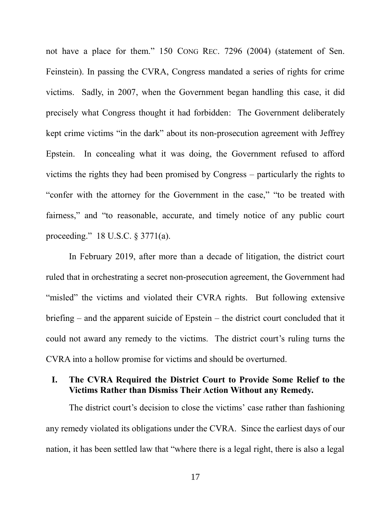not have a place for them." 150 CONG REC. 7296 (2004) (statement of Sen. Feinstein). In passing the CVRA, Congress mandated a series of rights for crime victims. Sadly, in 2007, when the Government began handling this case, it did precisely what Congress thought it had forbidden: The Government deliberately kept crime victims "in the dark" about its non-prosecution agreement with Jeffrey Epstein. In concealing what it was doing, the Government refused to afford victims the rights they had been promised by Congress – particularly the rights to "confer with the attorney for the Government in the case," "to be treated with fairness," and "to reasonable, accurate, and timely notice of any public court proceeding." 18 U.S.C. § 3771(a).

In February 2019, after more than a decade of litigation, the district court ruled that in orchestrating a secret non-prosecution agreement, the Government had "misled" the victims and violated their CVRA rights. But following extensive briefing – and the apparent suicide of Epstein – the district court concluded that it could not award any remedy to the victims. The district court's ruling turns the CVRA into a hollow promise for victims and should be overturned.

## **I. The CVRA Required the District Court to Provide Some Relief to the Victims Rather than Dismiss Their Action Without any Remedy.**

The district court's decision to close the victims' case rather than fashioning any remedy violated its obligations under the CVRA. Since the earliest days of our nation, it has been settled law that "where there is a legal right, there is also a legal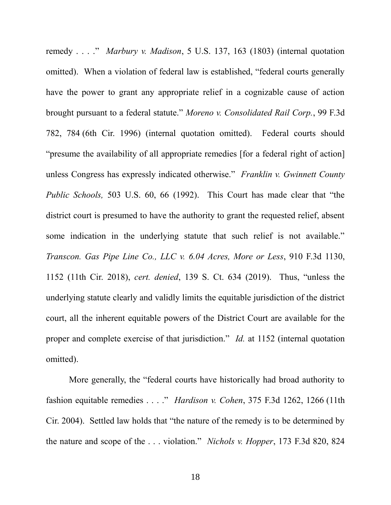remedy . . . ." *Marbury v. Madison*, 5 U.S. 137, 163 (1803) (internal quotation omitted). When a violation of federal law is established, "federal courts generally have the power to grant any appropriate relief in a cognizable cause of action brought pursuant to a federal statute." *Moreno v. Consolidated Rail Corp.*, 99 F.3d 782, 784 (6th Cir. 1996) (internal quotation omitted). Federal courts should "presume the availability of all appropriate remedies [for a federal right of action] unless Congress has expressly indicated otherwise." *Franklin v. Gwinnett County Public Schools,* 503 U.S. 60, 66 (1992). This Court has made clear that "the district court is presumed to have the authority to grant the requested relief, absent some indication in the underlying statute that such relief is not available." *Transcon. Gas Pipe Line Co., LLC v. 6.04 Acres, More or Less*, 910 F.3d 1130, 1152 (11th Cir. 2018), *cert. denied*, 139 S. Ct. 634 (2019). Thus, "unless the underlying statute clearly and validly limits the equitable jurisdiction of the district court, all the inherent equitable powers of the District Court are available for the proper and complete exercise of that jurisdiction." *Id.* at 1152 (internal quotation omitted).

More generally, the "federal courts have historically had broad authority to fashion equitable remedies . . . ." *Hardison v. Cohen*, 375 F.3d 1262, 1266 (11th Cir. 2004). Settled law holds that "the nature of the remedy is to be determined by the nature and scope of the . . . violation." *Nichols v. Hopper*, 173 F.3d 820, 824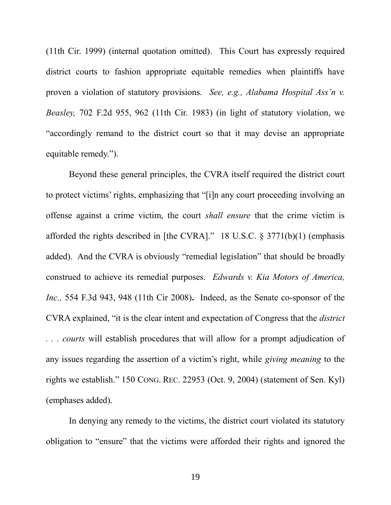(11th Cir. 1999) (internal quotation omitted). This Court has expressly required district courts to fashion appropriate equitable remedies when plaintiffs have proven a violation of statutory provisions. *See, e.g., Alabama Hospital Ass'n v. Beasley,* 702 F.2d 955, 962 (11th Cir. 1983) (in light of statutory violation, we "accordingly remand to the district court so that it may devise an appropriate equitable remedy.").

Beyond these general principles, the CVRA itself required the district court to protect victims' rights, emphasizing that "[i]n any court proceeding involving an offense against a crime victim, the court *shall ensure* that the crime victim is afforded the rights described in [the CVRA]." 18 U.S.C. § 3771(b)(1) (emphasis added). And the CVRA is obviously "remedial legislation" that should be broadly construed to achieve its remedial purposes. *Edwards v. Kia Motors of America, Inc.,* 554 F.3d 943, 948 (11th Cir 2008)**.** Indeed, as the Senate co-sponsor of the CVRA explained, "it is the clear intent and expectation of Congress that the *district . . . courts* will establish procedures that will allow for a prompt adjudication of any issues regarding the assertion of a victim's right, while *giving meaning* to the rights we establish." 150 CONG. REC. 22953 (Oct. 9, 2004) (statement of Sen. Kyl) (emphases added).

In denying any remedy to the victims, the district court violated its statutory obligation to "ensure" that the victims were afforded their rights and ignored the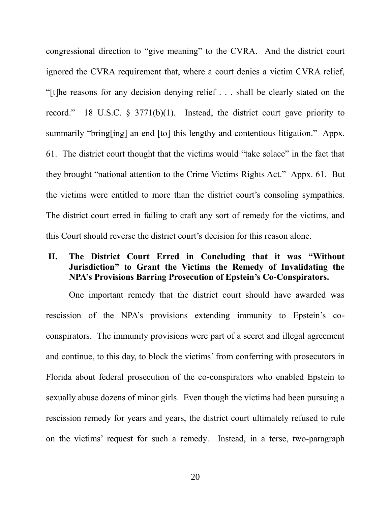congressional direction to "give meaning" to the CVRA. And the district court ignored the CVRA requirement that, where a court denies a victim CVRA relief, "[t]he reasons for any decision denying relief . . . shall be clearly stated on the record." 18 U.S.C. § 3771(b)(1). Instead, the district court gave priority to summarily "bring[ing] an end [to] this lengthy and contentious litigation." Appx. 61. The district court thought that the victims would "take solace" in the fact that they brought "national attention to the Crime Victims Rights Act." Appx. 61. But the victims were entitled to more than the district court's consoling sympathies. The district court erred in failing to craft any sort of remedy for the victims, and this Court should reverse the district court's decision for this reason alone.

## **II. The District Court Erred in Concluding that it was "Without Jurisdiction" to Grant the Victims the Remedy of Invalidating the NPA's Provisions Barring Prosecution of Epstein's Co-Conspirators.**

One important remedy that the district court should have awarded was rescission of the NPA's provisions extending immunity to Epstein's coconspirators. The immunity provisions were part of a secret and illegal agreement and continue, to this day, to block the victims' from conferring with prosecutors in Florida about federal prosecution of the co-conspirators who enabled Epstein to sexually abuse dozens of minor girls. Even though the victims had been pursuing a rescission remedy for years and years, the district court ultimately refused to rule on the victims' request for such a remedy. Instead, in a terse, two-paragraph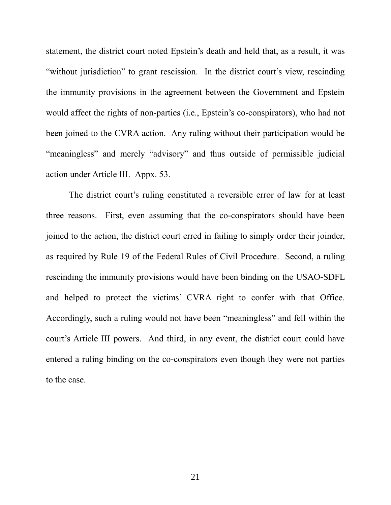statement, the district court noted Epstein's death and held that, as a result, it was "without jurisdiction" to grant rescission. In the district court's view, rescinding the immunity provisions in the agreement between the Government and Epstein would affect the rights of non-parties (i.e., Epstein's co-conspirators), who had not been joined to the CVRA action. Any ruling without their participation would be "meaningless" and merely "advisory" and thus outside of permissible judicial action under Article III. Appx. 53.

The district court's ruling constituted a reversible error of law for at least three reasons. First, even assuming that the co-conspirators should have been joined to the action, the district court erred in failing to simply order their joinder, as required by Rule 19 of the Federal Rules of Civil Procedure. Second, a ruling rescinding the immunity provisions would have been binding on the USAO-SDFL and helped to protect the victims' CVRA right to confer with that Office. Accordingly, such a ruling would not have been "meaningless" and fell within the court's Article III powers. And third, in any event, the district court could have entered a ruling binding on the co-conspirators even though they were not parties to the case.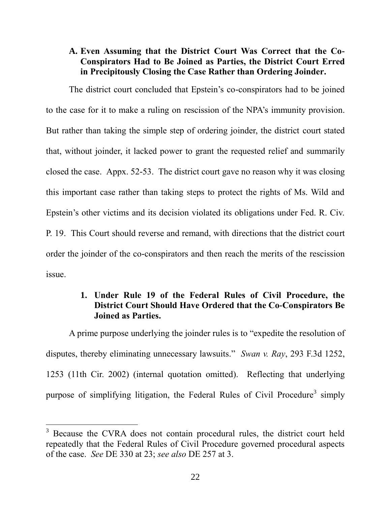## **A. Even Assuming that the District Court Was Correct that the Co-Conspirators Had to Be Joined as Parties, the District Court Erred in Precipitously Closing the Case Rather than Ordering Joinder.**

The district court concluded that Epstein's co-conspirators had to be joined to the case for it to make a ruling on rescission of the NPA's immunity provision. But rather than taking the simple step of ordering joinder, the district court stated that, without joinder, it lacked power to grant the requested relief and summarily closed the case. Appx. 52-53. The district court gave no reason why it was closing this important case rather than taking steps to protect the rights of Ms. Wild and Epstein's other victims and its decision violated its obligations under Fed. R. Civ. P. 19. This Court should reverse and remand, with directions that the district court order the joinder of the co-conspirators and then reach the merits of the rescission issue.

## **1. Under Rule 19 of the Federal Rules of Civil Procedure, the District Court Should Have Ordered that the Co-Conspirators Be Joined as Parties.**

A prime purpose underlying the joinder rules is to "expedite the resolution of disputes, thereby eliminating unnecessary lawsuits." *Swan v. Ray*, 293 F.3d 1252, 1253 (11th Cir. 2002) (internal quotation omitted). Reflecting that underlying purpose of simplifying litigation, the Federal Rules of Civil Procedure<sup>3</sup> simply

 $\overline{a}$ 

<sup>&</sup>lt;sup>3</sup> Because the CVRA does not contain procedural rules, the district court held repeatedly that the Federal Rules of Civil Procedure governed procedural aspects of the case. *See* DE 330 at 23; *see also* DE 257 at 3.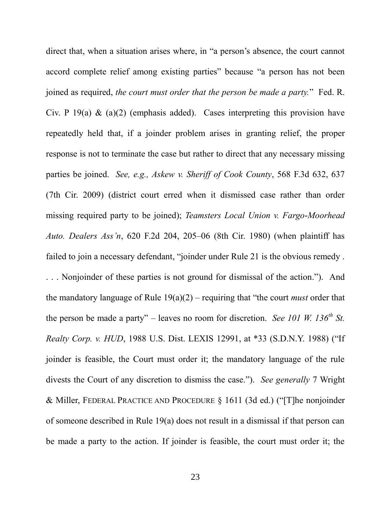direct that, when a situation arises where, in "a person's absence, the court cannot accord complete relief among existing parties" because "a person has not been joined as required, *the court must order that the person be made a party.*" Fed. R. Civ. P 19(a)  $\&$  (a)(2) (emphasis added). Cases interpreting this provision have repeatedly held that, if a joinder problem arises in granting relief, the proper response is not to terminate the case but rather to direct that any necessary missing parties be joined. *See, e.g., Askew v. Sheriff of Cook County*, 568 F.3d 632, 637 (7th Cir. 2009) (district court erred when it dismissed case rather than order missing required party to be joined); *Teamsters Local Union v. Fargo-Moorhead Auto. Dealers Ass'n*, 620 F.2d 204, 205–06 (8th Cir. 1980) (when plaintiff has failed to join a necessary defendant, "joinder under Rule 21 is the obvious remedy .

. . . Nonjoinder of these parties is not ground for dismissal of the action."). And the mandatory language of Rule 19(a)(2) – requiring that "the court *must* order that the person be made a party" – leaves no room for discretion. *See 101 W. 136th St. Realty Corp. v. HUD*, 1988 U.S. Dist. LEXIS 12991, at \*33 (S.D.N.Y. 1988) ("If joinder is feasible, the Court must order it; the mandatory language of the rule divests the Court of any discretion to dismiss the case."). *See generally* 7 Wright & Miller, FEDERAL PRACTICE AND PROCEDURE § 1611 (3d ed.) ("[T]he nonjoinder of someone described in Rule 19(a) does not result in a dismissal if that person can be made a party to the action. If joinder is feasible, the court must order it; the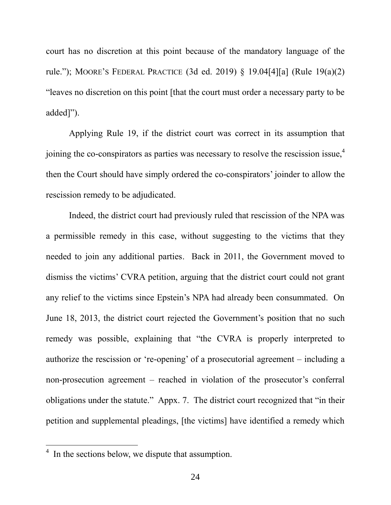court has no discretion at this point because of the mandatory language of the rule."); MOORE'S FEDERAL PRACTICE (3d ed. 2019) § 19.04[4][a] (Rule 19(a)(2) "leaves no discretion on this point [that the court must order a necessary party to be added]").

Applying Rule 19, if the district court was correct in its assumption that joining the co-conspirators as parties was necessary to resolve the rescission issue, 4 then the Court should have simply ordered the co-conspirators' joinder to allow the rescission remedy to be adjudicated.

Indeed, the district court had previously ruled that rescission of the NPA was a permissible remedy in this case, without suggesting to the victims that they needed to join any additional parties. Back in 2011, the Government moved to dismiss the victims' CVRA petition, arguing that the district court could not grant any relief to the victims since Epstein's NPA had already been consummated. On June 18, 2013, the district court rejected the Government's position that no such remedy was possible, explaining that "the CVRA is properly interpreted to authorize the rescission or 're-opening' of a prosecutorial agreement – including a non-prosecution agreement – reached in violation of the prosecutor's conferral obligations under the statute." Appx. 7. The district court recognized that "in their petition and supplemental pleadings, [the victims] have identified a remedy which

 $\overline{a}$ 

<sup>4</sup> In the sections below, we dispute that assumption.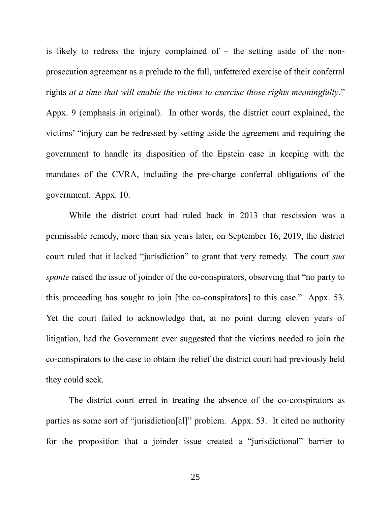is likely to redress the injury complained of  $-$  the setting aside of the nonprosecution agreement as a prelude to the full, unfettered exercise of their conferral rights *at a time that will enable the victims to exercise those rights meaningfully*." Appx. 9 (emphasis in original). In other words, the district court explained, the victims' "injury can be redressed by setting aside the agreement and requiring the government to handle its disposition of the Epstein case in keeping with the mandates of the CVRA, including the pre-charge conferral obligations of the government. Appx. 10.

While the district court had ruled back in 2013 that rescission was a permissible remedy, more than six years later, on September 16, 2019, the district court ruled that it lacked "jurisdiction" to grant that very remedy. The court *sua sponte* raised the issue of joinder of the co-conspirators, observing that "no party to this proceeding has sought to join [the co-conspirators] to this case." Appx. 53. Yet the court failed to acknowledge that, at no point during eleven years of litigation, had the Government ever suggested that the victims needed to join the co-conspirators to the case to obtain the relief the district court had previously held they could seek.

The district court erred in treating the absence of the co-conspirators as parties as some sort of "jurisdiction[al]" problem. Appx. 53. It cited no authority for the proposition that a joinder issue created a "jurisdictional" barrier to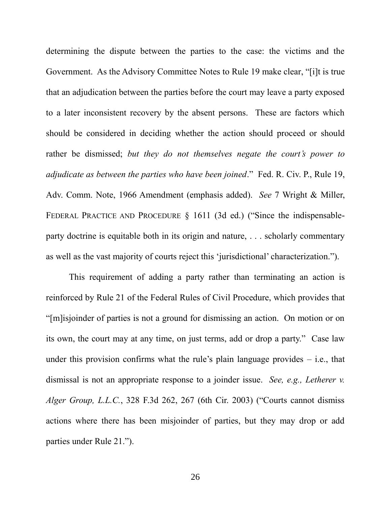determining the dispute between the parties to the case: the victims and the Government. As the Advisory Committee Notes to Rule 19 make clear, "[i]t is true that an adjudication between the parties before the court may leave a party exposed to a later inconsistent recovery by the absent persons. These are factors which should be considered in deciding whether the action should proceed or should rather be dismissed; *but they do not themselves negate the court's power to adjudicate as between the parties who have been joined*." Fed. R. Civ. P., Rule 19, Adv. Comm. Note, 1966 Amendment (emphasis added). *See* 7 Wright & Miller, FEDERAL PRACTICE AND PROCEDURE § 1611 (3d ed.) ("Since the indispensableparty doctrine is equitable both in its origin and nature, . . . scholarly commentary as well as the vast majority of courts reject this 'jurisdictional' characterization.").

This requirement of adding a party rather than terminating an action is reinforced by Rule 21 of the Federal Rules of Civil Procedure, which provides that "[m]isjoinder of parties is not a ground for dismissing an action. On motion or on its own, the court may at any time, on just terms, add or drop a party." Case law under this provision confirms what the rule's plain language provides  $-$  i.e., that dismissal is not an appropriate response to a joinder issue. *See, e.g., Letherer v. Alger Group, L.L.C.*, 328 F.3d 262, 267 (6th Cir. 2003) ("Courts cannot dismiss actions where there has been misjoinder of parties, but they may drop or add parties under Rule 21.").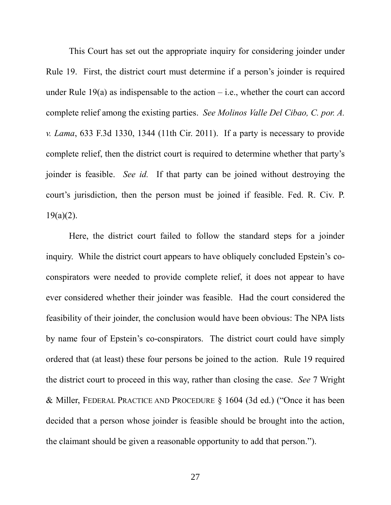This Court has set out the appropriate inquiry for considering joinder under Rule 19. First, the district court must determine if a person's joinder is required under Rule 19(a) as indispensable to the action  $-$  i.e., whether the court can accord complete relief among the existing parties. *See Molinos Valle Del Cibao, C. por. A. v. Lama*, 633 F.3d 1330, 1344 (11th Cir. 2011). If a party is necessary to provide complete relief, then the district court is required to determine whether that party's joinder is feasible. *See id.* If that party can be joined without destroying the court's jurisdiction, then the person must be joined if feasible. Fed. R. Civ. P.  $19(a)(2)$ .

Here, the district court failed to follow the standard steps for a joinder inquiry. While the district court appears to have obliquely concluded Epstein's coconspirators were needed to provide complete relief, it does not appear to have ever considered whether their joinder was feasible. Had the court considered the feasibility of their joinder, the conclusion would have been obvious: The NPA lists by name four of Epstein's co-conspirators. The district court could have simply ordered that (at least) these four persons be joined to the action. Rule 19 required the district court to proceed in this way, rather than closing the case. *See* 7 Wright & Miller, FEDERAL PRACTICE AND PROCEDURE § 1604 (3d ed.) ("Once it has been decided that a person whose joinder is feasible should be brought into the action, the claimant should be given a reasonable opportunity to add that person.").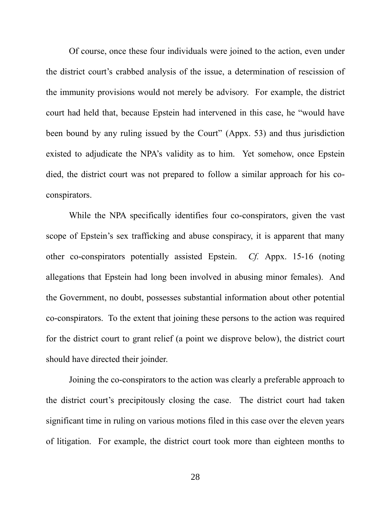Of course, once these four individuals were joined to the action, even under the district court's crabbed analysis of the issue, a determination of rescission of the immunity provisions would not merely be advisory. For example, the district court had held that, because Epstein had intervened in this case, he "would have been bound by any ruling issued by the Court" (Appx. 53) and thus jurisdiction existed to adjudicate the NPA's validity as to him. Yet somehow, once Epstein died, the district court was not prepared to follow a similar approach for his coconspirators.

While the NPA specifically identifies four co-conspirators, given the vast scope of Epstein's sex trafficking and abuse conspiracy, it is apparent that many other co-conspirators potentially assisted Epstein. *Cf.* Appx. 15-16 (noting allegations that Epstein had long been involved in abusing minor females). And the Government, no doubt, possesses substantial information about other potential co-conspirators. To the extent that joining these persons to the action was required for the district court to grant relief (a point we disprove below), the district court should have directed their joinder.

Joining the co-conspirators to the action was clearly a preferable approach to the district court's precipitously closing the case. The district court had taken significant time in ruling on various motions filed in this case over the eleven years of litigation. For example, the district court took more than eighteen months to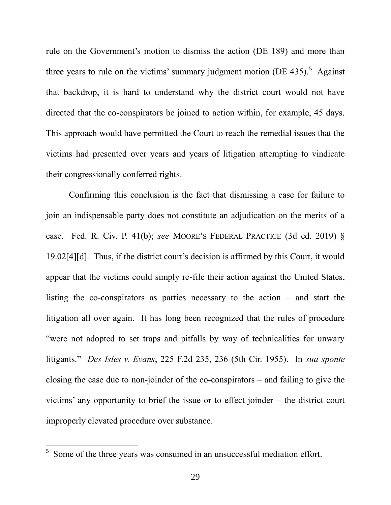rule on the Government's motion to dismiss the action (DE 189) and more than three years to rule on the victims' summary judgment motion (DE 435).<sup>5</sup> Against that backdrop, it is hard to understand why the district court would not have directed that the co-conspirators be joined to action within, for example, 45 days. This approach would have permitted the Court to reach the remedial issues that the victims had presented over years and years of litigation attempting to vindicate their congressionally conferred rights.

Confirming this conclusion is the fact that dismissing a case for failure to join an indispensable party does not constitute an adjudication on the merits of a case. Fed. R. Civ. P. 41(b); *see* MOORE'S FEDERAL PRACTICE (3d ed. 2019) § 19.02[4][d]. Thus, if the district court's decision is affirmed by this Court, it would appear that the victims could simply re-file their action against the United States, listing the co-conspirators as parties necessary to the action – and start the litigation all over again. It has long been recognized that the rules of procedure "were not adopted to set traps and pitfalls by way of technicalities for unwary litigants." *Des Isles v. Evans*, 225 F.2d 235, 236 (5th Cir. 1955). In *sua sponte*  closing the case due to non-joinder of the co-conspirators – and failing to give the victims' any opportunity to brief the issue or to effect joinder – the district court improperly elevated procedure over substance.

 $\overline{a}$ 

<sup>5</sup> Some of the three years was consumed in an unsuccessful mediation effort.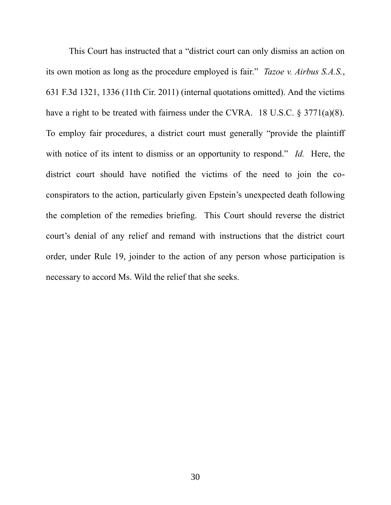This Court has instructed that a "district court can only dismiss an action on its own motion as long as the procedure employed is fair." *Tazoe v. Airbus S.A.S.*, 631 F.3d 1321, 1336 (11th Cir. 2011) (internal quotations omitted). And the victims have a right to be treated with fairness under the CVRA. 18 U.S.C. § 3771(a)(8). To employ fair procedures, a district court must generally "provide the plaintiff with notice of its intent to dismiss or an opportunity to respond." *Id.* Here, the district court should have notified the victims of the need to join the coconspirators to the action, particularly given Epstein's unexpected death following the completion of the remedies briefing. This Court should reverse the district court's denial of any relief and remand with instructions that the district court order, under Rule 19, joinder to the action of any person whose participation is necessary to accord Ms. Wild the relief that she seeks.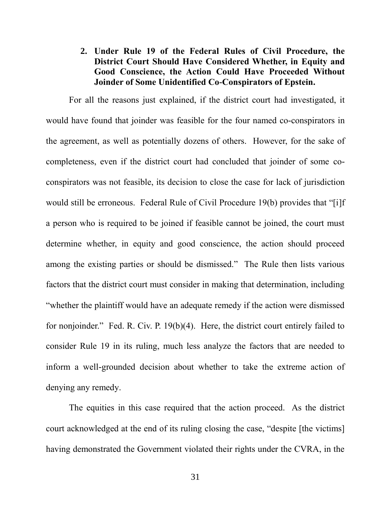## **2. Under Rule 19 of the Federal Rules of Civil Procedure, the District Court Should Have Considered Whether, in Equity and Good Conscience, the Action Could Have Proceeded Without Joinder of Some Unidentified Co-Conspirators of Epstein.**

For all the reasons just explained, if the district court had investigated, it would have found that joinder was feasible for the four named co-conspirators in the agreement, as well as potentially dozens of others. However, for the sake of completeness, even if the district court had concluded that joinder of some coconspirators was not feasible, its decision to close the case for lack of jurisdiction would still be erroneous. Federal Rule of Civil Procedure 19(b) provides that "[i]f a person who is required to be joined if feasible cannot be joined, the court must determine whether, in equity and good conscience, the action should proceed among the existing parties or should be dismissed." The Rule then lists various factors that the district court must consider in making that determination, including "whether the plaintiff would have an adequate remedy if the action were dismissed for nonjoinder." Fed. R. Civ. P. 19(b)(4). Here, the district court entirely failed to consider Rule 19 in its ruling, much less analyze the factors that are needed to inform a well-grounded decision about whether to take the extreme action of denying any remedy.

The equities in this case required that the action proceed. As the district court acknowledged at the end of its ruling closing the case, "despite [the victims] having demonstrated the Government violated their rights under the CVRA, in the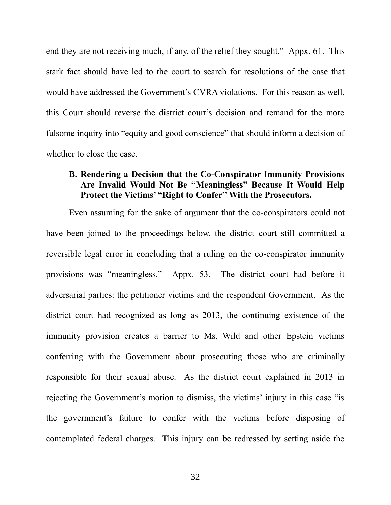end they are not receiving much, if any, of the relief they sought." Appx. 61. This stark fact should have led to the court to search for resolutions of the case that would have addressed the Government's CVRA violations. For this reason as well, this Court should reverse the district court's decision and remand for the more fulsome inquiry into "equity and good conscience" that should inform a decision of whether to close the case.

#### **B. Rendering a Decision that the Co-Conspirator Immunity Provisions Are Invalid Would Not Be "Meaningless" Because It Would Help Protect the Victims' "Right to Confer" With the Prosecutors.**

Even assuming for the sake of argument that the co-conspirators could not have been joined to the proceedings below, the district court still committed a reversible legal error in concluding that a ruling on the co-conspirator immunity provisions was "meaningless." Appx. 53. The district court had before it adversarial parties: the petitioner victims and the respondent Government. As the district court had recognized as long as 2013, the continuing existence of the immunity provision creates a barrier to Ms. Wild and other Epstein victims conferring with the Government about prosecuting those who are criminally responsible for their sexual abuse. As the district court explained in 2013 in rejecting the Government's motion to dismiss, the victims' injury in this case "is the government's failure to confer with the victims before disposing of contemplated federal charges. This injury can be redressed by setting aside the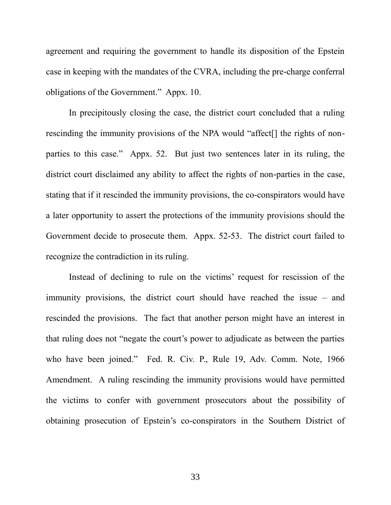agreement and requiring the government to handle its disposition of the Epstein case in keeping with the mandates of the CVRA, including the pre-charge conferral obligations of the Government." Appx. 10.

In precipitously closing the case, the district court concluded that a ruling rescinding the immunity provisions of the NPA would "affect[] the rights of nonparties to this case." Appx. 52. But just two sentences later in its ruling, the district court disclaimed any ability to affect the rights of non-parties in the case, stating that if it rescinded the immunity provisions, the co-conspirators would have a later opportunity to assert the protections of the immunity provisions should the Government decide to prosecute them. Appx. 52-53. The district court failed to recognize the contradiction in its ruling.

Instead of declining to rule on the victims' request for rescission of the immunity provisions, the district court should have reached the issue – and rescinded the provisions. The fact that another person might have an interest in that ruling does not "negate the court's power to adjudicate as between the parties who have been joined." Fed. R. Civ. P., Rule 19, Adv. Comm. Note, 1966 Amendment. A ruling rescinding the immunity provisions would have permitted the victims to confer with government prosecutors about the possibility of obtaining prosecution of Epstein's co-conspirators in the Southern District of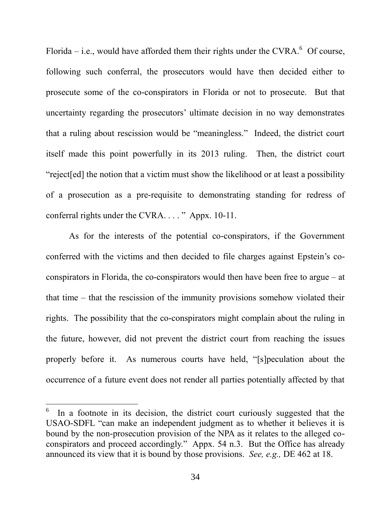Florida  $-$  i.e., would have afforded them their rights under the CVRA. $\degree$  Of course, following such conferral, the prosecutors would have then decided either to prosecute some of the co-conspirators in Florida or not to prosecute. But that uncertainty regarding the prosecutors' ultimate decision in no way demonstrates that a ruling about rescission would be "meaningless." Indeed, the district court itself made this point powerfully in its 2013 ruling. Then, the district court "reject[ed] the notion that a victim must show the likelihood or at least a possibility of a prosecution as a pre-requisite to demonstrating standing for redress of conferral rights under the CVRA. . . . " Appx. 10-11.

As for the interests of the potential co-conspirators, if the Government conferred with the victims and then decided to file charges against Epstein's coconspirators in Florida, the co-conspirators would then have been free to argue – at that time – that the rescission of the immunity provisions somehow violated their rights. The possibility that the co-conspirators might complain about the ruling in the future, however, did not prevent the district court from reaching the issues properly before it. As numerous courts have held, "[s]peculation about the occurrence of a future event does not render all parties potentially affected by that

 $\overline{a}$ 

<sup>6</sup> In a footnote in its decision, the district court curiously suggested that the USAO-SDFL "can make an independent judgment as to whether it believes it is bound by the non-prosecution provision of the NPA as it relates to the alleged coconspirators and proceed accordingly." Appx. 54 n.3. But the Office has already announced its view that it is bound by those provisions. *See, e.g.,* DE 462 at 18.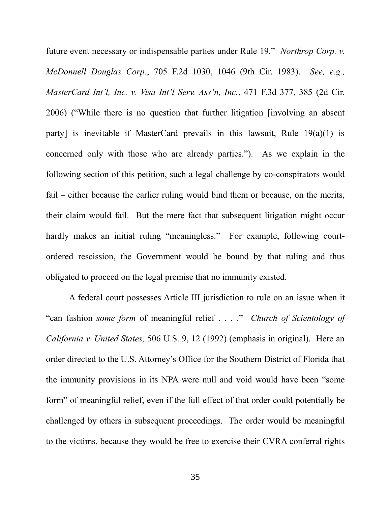future event necessary or indispensable parties under Rule 19." *Northrop Corp. v. McDonnell Douglas Corp.*, 705 F.2d 1030, 1046 (9th Cir. 1983). *See, e.g., MasterCard Int'l, Inc. v. Visa Int'l Serv. Ass'n, Inc.*, 471 F.3d 377, 385 (2d Cir. 2006) ("While there is no question that further litigation [involving an absent party] is inevitable if MasterCard prevails in this lawsuit, Rule 19(a)(1) is concerned only with those who are already parties."). As we explain in the following section of this petition, such a legal challenge by co-conspirators would fail – either because the earlier ruling would bind them or because, on the merits, their claim would fail. But the mere fact that subsequent litigation might occur hardly makes an initial ruling "meaningless." For example, following courtordered rescission, the Government would be bound by that ruling and thus obligated to proceed on the legal premise that no immunity existed.

A federal court possesses Article III jurisdiction to rule on an issue when it "can fashion *some form* of meaningful relief . . . ." *Church of Scientology of California v. United States,* 506 U.S. 9, 12 (1992) (emphasis in original). Here an order directed to the U.S. Attorney's Office for the Southern District of Florida that the immunity provisions in its NPA were null and void would have been "some form" of meaningful relief, even if the full effect of that order could potentially be challenged by others in subsequent proceedings. The order would be meaningful to the victims, because they would be free to exercise their CVRA conferral rights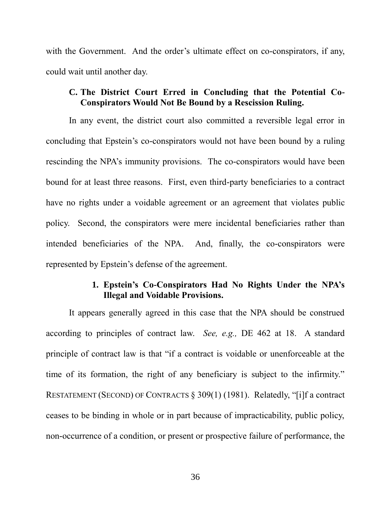with the Government. And the order's ultimate effect on co-conspirators, if any, could wait until another day.

#### **C. The District Court Erred in Concluding that the Potential Co-Conspirators Would Not Be Bound by a Rescission Ruling.**

In any event, the district court also committed a reversible legal error in concluding that Epstein's co-conspirators would not have been bound by a ruling rescinding the NPA's immunity provisions. The co-conspirators would have been bound for at least three reasons. First, even third-party beneficiaries to a contract have no rights under a voidable agreement or an agreement that violates public policy. Second, the conspirators were mere incidental beneficiaries rather than intended beneficiaries of the NPA. And, finally, the co-conspirators were represented by Epstein's defense of the agreement.

#### **1. Epstein's Co-Conspirators Had No Rights Under the NPA's Illegal and Voidable Provisions.**

It appears generally agreed in this case that the NPA should be construed according to principles of contract law. *See, e.g.,* DE 462 at 18. A standard principle of contract law is that "if a contract is voidable or unenforceable at the time of its formation, the right of any beneficiary is subject to the infirmity." RESTATEMENT (SECOND) OF CONTRACTS § 309(1) (1981). Relatedly, "[i]f a contract ceases to be binding in whole or in part because of impracticability, public policy, non-occurrence of a condition, or present or prospective failure of performance, the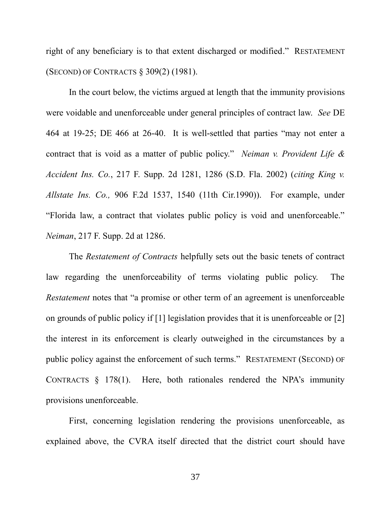right of any beneficiary is to that extent discharged or modified." RESTATEMENT (SECOND) OF CONTRACTS § 309(2) (1981).

In the court below, the victims argued at length that the immunity provisions were voidable and unenforceable under general principles of contract law. *See* DE 464 at 19-25; DE 466 at 26-40. It is well-settled that parties "may not enter a contract that is void as a matter of public policy." *Neiman v. Provident Life & Accident Ins. Co.*, 217 F. Supp. 2d 1281, 1286 (S.D. Fla. 2002) (*citing King v. Allstate Ins. Co.,* 906 F.2d 1537, 1540 (11th Cir.1990)). For example, under "Florida law, a contract that violates public policy is void and unenforceable." *Neiman*, 217 F. Supp. 2d at 1286.

The *Restatement of Contracts* helpfully sets out the basic tenets of contract law regarding the unenforceability of terms violating public policy. The *Restatement* notes that "a promise or other term of an agreement is unenforceable on grounds of public policy if [1] legislation provides that it is unenforceable or [2] the interest in its enforcement is clearly outweighed in the circumstances by a public policy against the enforcement of such terms." RESTATEMENT (SECOND) OF CONTRACTS  $\S$  178(1). Here, both rationales rendered the NPA's immunity provisions unenforceable.

First, concerning legislation rendering the provisions unenforceable, as explained above, the CVRA itself directed that the district court should have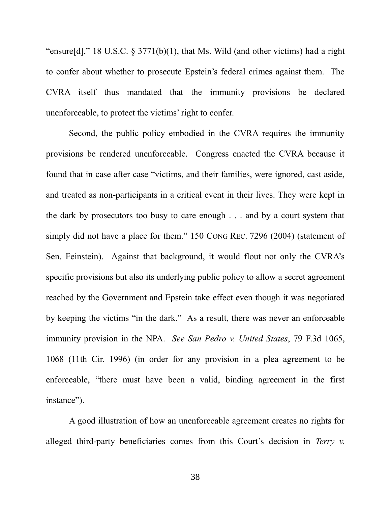"ensure[d]," 18 U.S.C.  $\S 3771(b)(1)$ , that Ms. Wild (and other victims) had a right to confer about whether to prosecute Epstein's federal crimes against them. The CVRA itself thus mandated that the immunity provisions be declared unenforceable, to protect the victims' right to confer.

Second, the public policy embodied in the CVRA requires the immunity provisions be rendered unenforceable. Congress enacted the CVRA because it found that in case after case "victims, and their families, were ignored, cast aside, and treated as non-participants in a critical event in their lives. They were kept in the dark by prosecutors too busy to care enough . . . and by a court system that simply did not have a place for them." 150 CONG REC. 7296 (2004) (statement of Sen. Feinstein). Against that background, it would flout not only the CVRA's specific provisions but also its underlying public policy to allow a secret agreement reached by the Government and Epstein take effect even though it was negotiated by keeping the victims "in the dark." As a result, there was never an enforceable immunity provision in the NPA. *See San Pedro v. United States*, 79 F.3d 1065, 1068 (11th Cir. 1996) (in order for any provision in a plea agreement to be enforceable, "there must have been a valid, binding agreement in the first instance").

A good illustration of how an unenforceable agreement creates no rights for alleged third-party beneficiaries comes from this Court's decision in *Terry v.*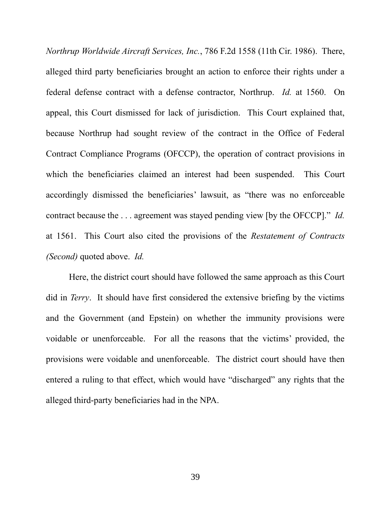*Northrup Worldwide Aircraft Services, Inc.*, 786 F.2d 1558 (11th Cir. 1986). There, alleged third party beneficiaries brought an action to enforce their rights under a federal defense contract with a defense contractor, Northrup. *Id.* at 1560. On appeal, this Court dismissed for lack of jurisdiction. This Court explained that, because Northrup had sought review of the contract in the Office of Federal Contract Compliance Programs (OFCCP), the operation of contract provisions in which the beneficiaries claimed an interest had been suspended. This Court accordingly dismissed the beneficiaries' lawsuit, as "there was no enforceable contract because the . . . agreement was stayed pending view [by the OFCCP]." *Id.*  at 1561. This Court also cited the provisions of the *Restatement of Contracts (Second)* quoted above. *Id.* 

Here, the district court should have followed the same approach as this Court did in *Terry*. It should have first considered the extensive briefing by the victims and the Government (and Epstein) on whether the immunity provisions were voidable or unenforceable. For all the reasons that the victims' provided, the provisions were voidable and unenforceable. The district court should have then entered a ruling to that effect, which would have "discharged" any rights that the alleged third-party beneficiaries had in the NPA.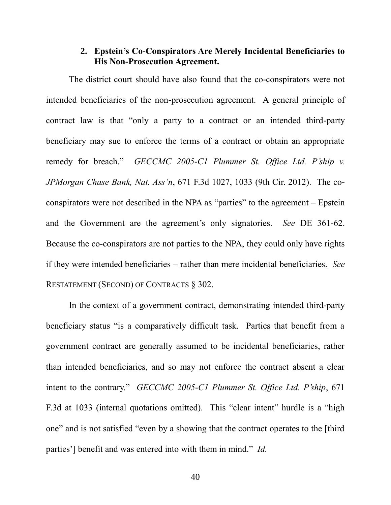#### **2. Epstein's Co-Conspirators Are Merely Incidental Beneficiaries to His Non-Prosecution Agreement.**

The district court should have also found that the co-conspirators were not intended beneficiaries of the non-prosecution agreement. A general principle of contract law is that "only a party to a contract or an intended third-party beneficiary may sue to enforce the terms of a contract or obtain an appropriate remedy for breach." *GECCMC 2005-C1 Plummer St. Office Ltd. P'ship v. JPMorgan Chase Bank, Nat. Ass'n*, 671 F.3d 1027, 1033 (9th Cir. 2012). The coconspirators were not described in the NPA as "parties" to the agreement – Epstein and the Government are the agreement's only signatories. *See* DE 361-62. Because the co-conspirators are not parties to the NPA, they could only have rights if they were intended beneficiaries – rather than mere incidental beneficiaries. *See*  RESTATEMENT (SECOND) OF CONTRACTS § 302.

In the context of a government contract, demonstrating intended third-party beneficiary status "is a comparatively difficult task. Parties that benefit from a government contract are generally assumed to be incidental beneficiaries, rather than intended beneficiaries, and so may not enforce the contract absent a clear intent to the contrary." *GECCMC 2005-C1 Plummer St. Office Ltd. P'ship*, 671 F.3d at 1033 (internal quotations omitted). This "clear intent" hurdle is a "high one" and is not satisfied "even by a showing that the contract operates to the [third parties'] benefit and was entered into with them in mind." *Id.*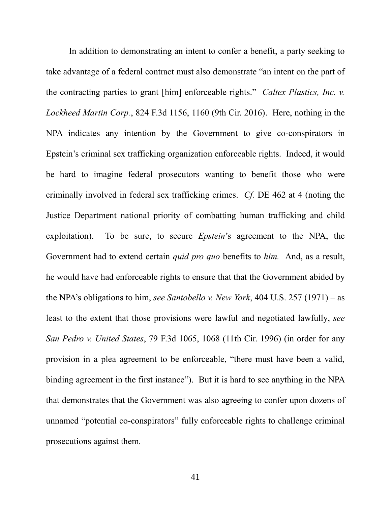In addition to demonstrating an intent to confer a benefit, a party seeking to take advantage of a federal contract must also demonstrate "an intent on the part of the contracting parties to grant [him] enforceable rights." *Caltex Plastics, Inc. v. Lockheed Martin Corp.*, 824 F.3d 1156, 1160 (9th Cir. 2016). Here, nothing in the NPA indicates any intention by the Government to give co-conspirators in Epstein's criminal sex trafficking organization enforceable rights. Indeed, it would be hard to imagine federal prosecutors wanting to benefit those who were criminally involved in federal sex trafficking crimes. *Cf.* DE 462 at 4 (noting the Justice Department national priority of combatting human trafficking and child exploitation). To be sure, to secure *Epstein*'s agreement to the NPA, the Government had to extend certain *quid pro quo* benefits to *him.* And, as a result, he would have had enforceable rights to ensure that that the Government abided by the NPA's obligations to him, *see Santobello v. New York*, 404 U.S. 257 (1971) – as least to the extent that those provisions were lawful and negotiated lawfully, *see San Pedro v. United States*, 79 F.3d 1065, 1068 (11th Cir. 1996) (in order for any provision in a plea agreement to be enforceable, "there must have been a valid, binding agreement in the first instance"). But it is hard to see anything in the NPA that demonstrates that the Government was also agreeing to confer upon dozens of unnamed "potential co-conspirators" fully enforceable rights to challenge criminal prosecutions against them.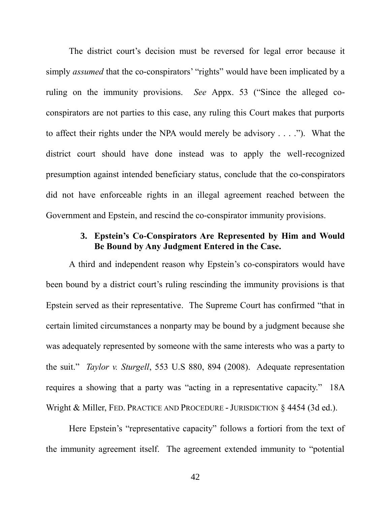The district court's decision must be reversed for legal error because it simply *assumed* that the co-conspirators' "rights" would have been implicated by a ruling on the immunity provisions. *See* Appx. 53 ("Since the alleged coconspirators are not parties to this case, any ruling this Court makes that purports to affect their rights under the NPA would merely be advisory . . . ."). What the district court should have done instead was to apply the well-recognized presumption against intended beneficiary status, conclude that the co-conspirators did not have enforceable rights in an illegal agreement reached between the Government and Epstein, and rescind the co-conspirator immunity provisions.

## **3. Epstein's Co-Conspirators Are Represented by Him and Would Be Bound by Any Judgment Entered in the Case.**

A third and independent reason why Epstein's co-conspirators would have been bound by a district court's ruling rescinding the immunity provisions is that Epstein served as their representative. The Supreme Court has confirmed "that in certain limited circumstances a nonparty may be bound by a judgment because she was adequately represented by someone with the same interests who was a party to the suit." *Taylor v. Sturgell*, 553 U.S 880, 894 (2008). Adequate representation requires a showing that a party was "acting in a representative capacity." 18A Wright & Miller, FED. PRACTICE AND PROCEDURE - JURISDICTION § 4454 (3d ed.).

Here Epstein's "representative capacity" follows a fortiori from the text of the immunity agreement itself. The agreement extended immunity to "potential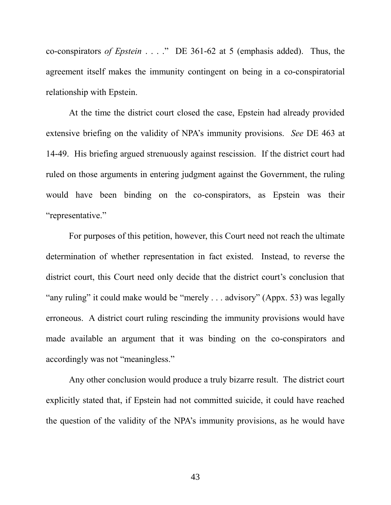co-conspirators *of Epstein* . . . ." DE 361-62 at 5 (emphasis added). Thus, the agreement itself makes the immunity contingent on being in a co-conspiratorial relationship with Epstein.

At the time the district court closed the case, Epstein had already provided extensive briefing on the validity of NPA's immunity provisions. *See* DE 463 at 14-49. His briefing argued strenuously against rescission. If the district court had ruled on those arguments in entering judgment against the Government, the ruling would have been binding on the co-conspirators, as Epstein was their "representative."

For purposes of this petition, however, this Court need not reach the ultimate determination of whether representation in fact existed. Instead, to reverse the district court, this Court need only decide that the district court's conclusion that "any ruling" it could make would be "merely . . . advisory" (Appx. 53) was legally erroneous. A district court ruling rescinding the immunity provisions would have made available an argument that it was binding on the co-conspirators and accordingly was not "meaningless."

Any other conclusion would produce a truly bizarre result. The district court explicitly stated that, if Epstein had not committed suicide, it could have reached the question of the validity of the NPA's immunity provisions, as he would have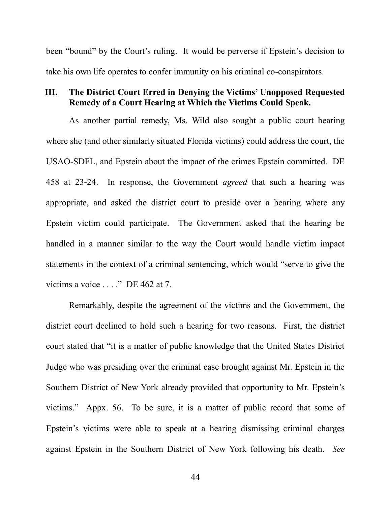been "bound" by the Court's ruling. It would be perverse if Epstein's decision to take his own life operates to confer immunity on his criminal co-conspirators.

### **III. The District Court Erred in Denying the Victims' Unopposed Requested Remedy of a Court Hearing at Which the Victims Could Speak.**

As another partial remedy, Ms. Wild also sought a public court hearing where she (and other similarly situated Florida victims) could address the court, the USAO-SDFL, and Epstein about the impact of the crimes Epstein committed. DE 458 at 23-24. In response, the Government *agreed* that such a hearing was appropriate, and asked the district court to preside over a hearing where any Epstein victim could participate. The Government asked that the hearing be handled in a manner similar to the way the Court would handle victim impact statements in the context of a criminal sentencing, which would "serve to give the victims a voice . . . ." DE 462 at 7.

Remarkably, despite the agreement of the victims and the Government, the district court declined to hold such a hearing for two reasons. First, the district court stated that "it is a matter of public knowledge that the United States District Judge who was presiding over the criminal case brought against Mr. Epstein in the Southern District of New York already provided that opportunity to Mr. Epstein's victims." Appx. 56. To be sure, it is a matter of public record that some of Epstein's victims were able to speak at a hearing dismissing criminal charges against Epstein in the Southern District of New York following his death. *See*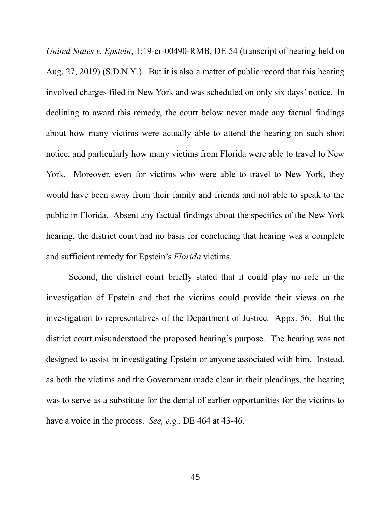*United States v. Epstein*, 1:19-cr-00490-RMB, DE 54 (transcript of hearing held on Aug. 27, 2019) (S.D.N.Y.). But it is also a matter of public record that this hearing involved charges filed in New York and was scheduled on only six days' notice. In declining to award this remedy, the court below never made any factual findings about how many victims were actually able to attend the hearing on such short notice, and particularly how many victims from Florida were able to travel to New York. Moreover, even for victims who were able to travel to New York, they would have been away from their family and friends and not able to speak to the public in Florida. Absent any factual findings about the specifics of the New York hearing, the district court had no basis for concluding that hearing was a complete and sufficient remedy for Epstein's *Florida* victims.

Second, the district court briefly stated that it could play no role in the investigation of Epstein and that the victims could provide their views on the investigation to representatives of the Department of Justice. Appx. 56. But the district court misunderstood the proposed hearing's purpose. The hearing was not designed to assist in investigating Epstein or anyone associated with him. Instead, as both the victims and the Government made clear in their pleadings, the hearing was to serve as a substitute for the denial of earlier opportunities for the victims to have a voice in the process. *See, e.g.,* DE 464 at 43-46.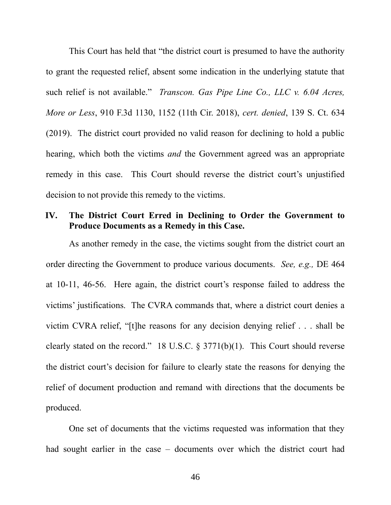This Court has held that "the district court is presumed to have the authority to grant the requested relief, absent some indication in the underlying statute that such relief is not available." *Transcon. Gas Pipe Line Co., LLC v. 6.04 Acres, More or Less*, 910 F.3d 1130, 1152 (11th Cir. 2018), *cert. denied*, 139 S. Ct. 634 (2019). The district court provided no valid reason for declining to hold a public hearing, which both the victims *and* the Government agreed was an appropriate remedy in this case. This Court should reverse the district court's unjustified decision to not provide this remedy to the victims.

#### **IV. The District Court Erred in Declining to Order the Government to Produce Documents as a Remedy in this Case.**

As another remedy in the case, the victims sought from the district court an order directing the Government to produce various documents. *See, e.g.,* DE 464 at 10-11, 46-56. Here again, the district court's response failed to address the victims' justifications. The CVRA commands that, where a district court denies a victim CVRA relief, "[t]he reasons for any decision denying relief . . . shall be clearly stated on the record." 18 U.S.C.  $\S 3771(b)(1)$ . This Court should reverse the district court's decision for failure to clearly state the reasons for denying the relief of document production and remand with directions that the documents be produced.

One set of documents that the victims requested was information that they had sought earlier in the case – documents over which the district court had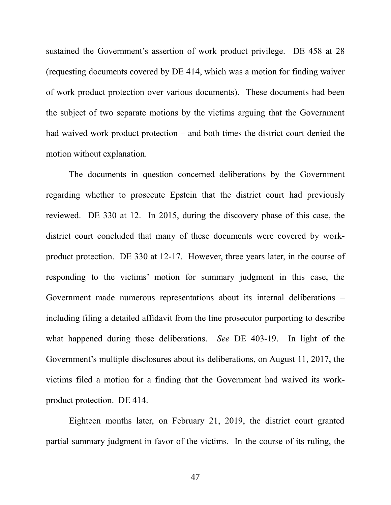sustained the Government's assertion of work product privilege. DE 458 at 28 (requesting documents covered by DE 414, which was a motion for finding waiver of work product protection over various documents). These documents had been the subject of two separate motions by the victims arguing that the Government had waived work product protection – and both times the district court denied the motion without explanation.

The documents in question concerned deliberations by the Government regarding whether to prosecute Epstein that the district court had previously reviewed. DE 330 at 12. In 2015, during the discovery phase of this case, the district court concluded that many of these documents were covered by workproduct protection. DE 330 at 12-17. However, three years later, in the course of responding to the victims' motion for summary judgment in this case, the Government made numerous representations about its internal deliberations – including filing a detailed affidavit from the line prosecutor purporting to describe what happened during those deliberations. *See* DE 403-19. In light of the Government's multiple disclosures about its deliberations, on August 11, 2017, the victims filed a motion for a finding that the Government had waived its workproduct protection. DE 414.

Eighteen months later, on February 21, 2019, the district court granted partial summary judgment in favor of the victims. In the course of its ruling, the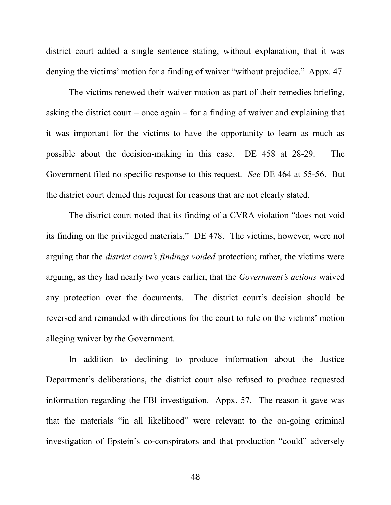district court added a single sentence stating, without explanation, that it was denying the victims' motion for a finding of waiver "without prejudice." Appx. 47.

The victims renewed their waiver motion as part of their remedies briefing, asking the district court – once again – for a finding of waiver and explaining that it was important for the victims to have the opportunity to learn as much as possible about the decision-making in this case. DE 458 at 28-29. The Government filed no specific response to this request. *See* DE 464 at 55-56. But the district court denied this request for reasons that are not clearly stated.

The district court noted that its finding of a CVRA violation "does not void its finding on the privileged materials." DE 478. The victims, however, were not arguing that the *district court's findings voided* protection; rather, the victims were arguing, as they had nearly two years earlier, that the *Government's actions* waived any protection over the documents. The district court's decision should be reversed and remanded with directions for the court to rule on the victims' motion alleging waiver by the Government.

In addition to declining to produce information about the Justice Department's deliberations, the district court also refused to produce requested information regarding the FBI investigation. Appx. 57. The reason it gave was that the materials "in all likelihood" were relevant to the on-going criminal investigation of Epstein's co-conspirators and that production "could" adversely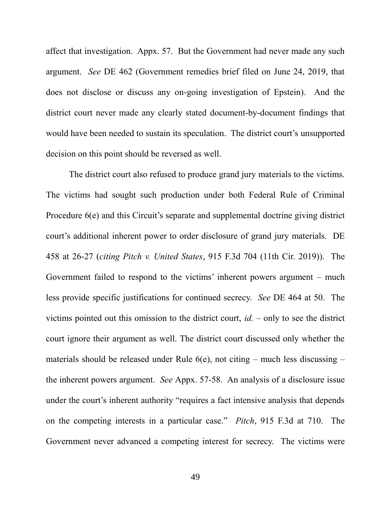affect that investigation. Appx. 57. But the Government had never made any such argument. *See* DE 462 (Government remedies brief filed on June 24, 2019, that does not disclose or discuss any on-going investigation of Epstein). And the district court never made any clearly stated document-by-document findings that would have been needed to sustain its speculation. The district court's unsupported decision on this point should be reversed as well.

The district court also refused to produce grand jury materials to the victims. The victims had sought such production under both Federal Rule of Criminal Procedure  $6(e)$  and this Circuit's separate and supplemental doctrine giving district court's additional inherent power to order disclosure of grand jury materials. DE 458 at 26-27 (*citing Pitch v. United States*, 915 F.3d 704 (11th Cir. 2019)). The Government failed to respond to the victims' inherent powers argument – much less provide specific justifications for continued secrecy. *See* DE 464 at 50. The victims pointed out this omission to the district court, *id.* – only to see the district court ignore their argument as well. The district court discussed only whether the materials should be released under Rule  $6(e)$ , not citing – much less discussing – the inherent powers argument. *See* Appx. 57-58. An analysis of a disclosure issue under the court's inherent authority "requires a fact intensive analysis that depends on the competing interests in a particular case." *Pitch*, 915 F.3d at 710. The Government never advanced a competing interest for secrecy. The victims were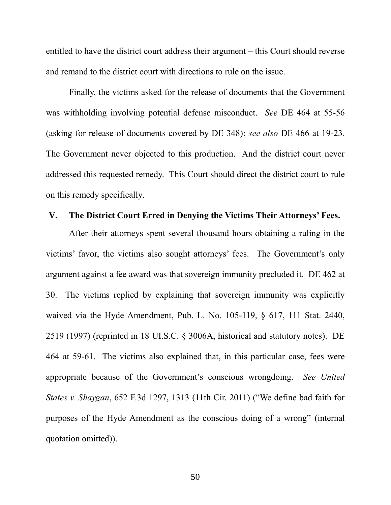entitled to have the district court address their argument – this Court should reverse and remand to the district court with directions to rule on the issue.

Finally, the victims asked for the release of documents that the Government was withholding involving potential defense misconduct. *See* DE 464 at 55-56 (asking for release of documents covered by DE 348); *see also* DE 466 at 19-23. The Government never objected to this production. And the district court never addressed this requested remedy. This Court should direct the district court to rule on this remedy specifically.

#### **V. The District Court Erred in Denying the Victims Their Attorneys' Fees.**

After their attorneys spent several thousand hours obtaining a ruling in the victims' favor, the victims also sought attorneys' fees. The Government's only argument against a fee award was that sovereign immunity precluded it. DE 462 at 30. The victims replied by explaining that sovereign immunity was explicitly waived via the Hyde Amendment, Pub. L. No. 105-119, § 617, 111 Stat. 2440, 2519 (1997) (reprinted in 18 UI.S.C. § 3006A, historical and statutory notes). DE 464 at 59-61. The victims also explained that, in this particular case, fees were appropriate because of the Government's conscious wrongdoing. *See United States v. Shaygan*, 652 F.3d 1297, 1313 (11th Cir. 2011) ("We define bad faith for purposes of the Hyde Amendment as the conscious doing of a wrong" (internal quotation omitted)).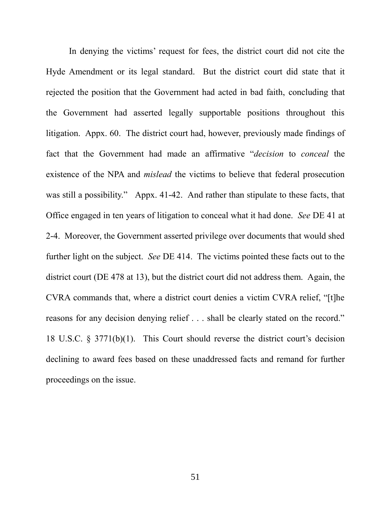In denying the victims' request for fees, the district court did not cite the Hyde Amendment or its legal standard. But the district court did state that it rejected the position that the Government had acted in bad faith, concluding that the Government had asserted legally supportable positions throughout this litigation. Appx. 60. The district court had, however, previously made findings of fact that the Government had made an affirmative "*decision* to *conceal* the existence of the NPA and *mislead* the victims to believe that federal prosecution was still a possibility." Appx. 41-42. And rather than stipulate to these facts, that Office engaged in ten years of litigation to conceal what it had done. *See* DE 41 at 2-4. Moreover, the Government asserted privilege over documents that would shed further light on the subject. *See* DE 414. The victims pointed these facts out to the district court (DE 478 at 13), but the district court did not address them. Again, the CVRA commands that, where a district court denies a victim CVRA relief, "[t]he reasons for any decision denying relief . . . shall be clearly stated on the record." 18 U.S.C. § 3771(b)(1). This Court should reverse the district court's decision declining to award fees based on these unaddressed facts and remand for further proceedings on the issue.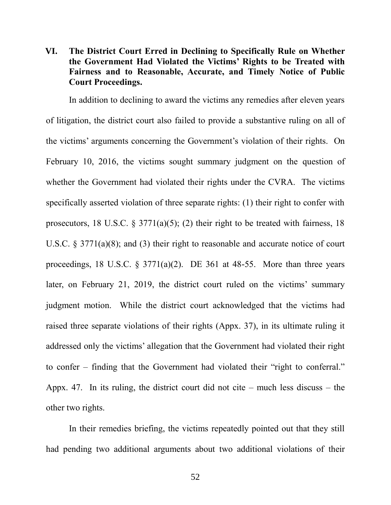## **VI. The District Court Erred in Declining to Specifically Rule on Whether the Government Had Violated the Victims' Rights to be Treated with Fairness and to Reasonable, Accurate, and Timely Notice of Public Court Proceedings.**

In addition to declining to award the victims any remedies after eleven years of litigation, the district court also failed to provide a substantive ruling on all of the victims' arguments concerning the Government's violation of their rights. On February 10, 2016, the victims sought summary judgment on the question of whether the Government had violated their rights under the CVRA. The victims specifically asserted violation of three separate rights: (1) their right to confer with prosecutors, 18 U.S.C.  $\S 3771(a)(5)$ ; (2) their right to be treated with fairness, 18 U.S.C. § 3771(a)(8); and (3) their right to reasonable and accurate notice of court proceedings, 18 U.S.C.  $\S$  3771(a)(2). DE 361 at 48-55. More than three years later, on February 21, 2019, the district court ruled on the victims' summary judgment motion. While the district court acknowledged that the victims had raised three separate violations of their rights (Appx. 37), in its ultimate ruling it addressed only the victims' allegation that the Government had violated their right to confer – finding that the Government had violated their "right to conferral." Appx. 47. In its ruling, the district court did not cite – much less discuss – the other two rights.

In their remedies briefing, the victims repeatedly pointed out that they still had pending two additional arguments about two additional violations of their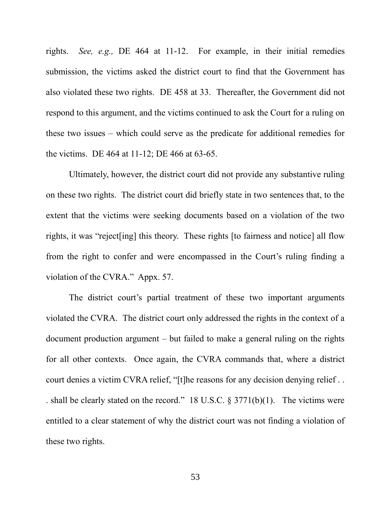rights. *See, e.g.,* DE 464 at 11-12. For example, in their initial remedies submission, the victims asked the district court to find that the Government has also violated these two rights. DE 458 at 33. Thereafter, the Government did not respond to this argument, and the victims continued to ask the Court for a ruling on these two issues – which could serve as the predicate for additional remedies for the victims. DE 464 at 11-12; DE 466 at 63-65.

Ultimately, however, the district court did not provide any substantive ruling on these two rights. The district court did briefly state in two sentences that, to the extent that the victims were seeking documents based on a violation of the two rights, it was "reject[ing] this theory. These rights [to fairness and notice] all flow from the right to confer and were encompassed in the Court's ruling finding a violation of the CVRA." Appx. 57.

The district court's partial treatment of these two important arguments violated the CVRA. The district court only addressed the rights in the context of a document production argument – but failed to make a general ruling on the rights for all other contexts. Once again, the CVRA commands that, where a district court denies a victim CVRA relief, "[t]he reasons for any decision denying relief... . shall be clearly stated on the record." 18 U.S.C. § 3771(b)(1). The victims were entitled to a clear statement of why the district court was not finding a violation of these two rights.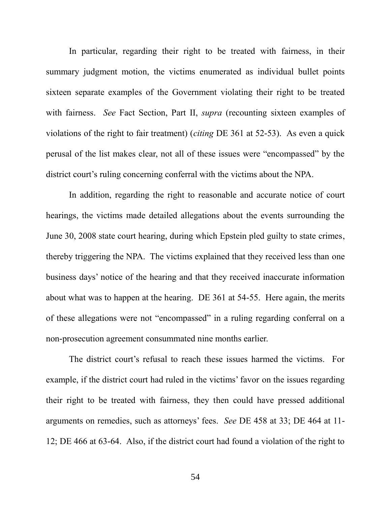In particular, regarding their right to be treated with fairness, in their summary judgment motion, the victims enumerated as individual bullet points sixteen separate examples of the Government violating their right to be treated with fairness. *See* Fact Section, Part II, *supra* (recounting sixteen examples of violations of the right to fair treatment) (*citing* DE 361 at 52-53). As even a quick perusal of the list makes clear, not all of these issues were "encompassed" by the district court's ruling concerning conferral with the victims about the NPA.

In addition, regarding the right to reasonable and accurate notice of court hearings, the victims made detailed allegations about the events surrounding the June 30, 2008 state court hearing, during which Epstein pled guilty to state crimes, thereby triggering the NPA. The victims explained that they received less than one business days' notice of the hearing and that they received inaccurate information about what was to happen at the hearing. DE 361 at 54-55. Here again, the merits of these allegations were not "encompassed" in a ruling regarding conferral on a non-prosecution agreement consummated nine months earlier.

The district court's refusal to reach these issues harmed the victims. For example, if the district court had ruled in the victims' favor on the issues regarding their right to be treated with fairness, they then could have pressed additional arguments on remedies, such as attorneys' fees. *See* DE 458 at 33; DE 464 at 11- 12; DE 466 at 63-64. Also, if the district court had found a violation of the right to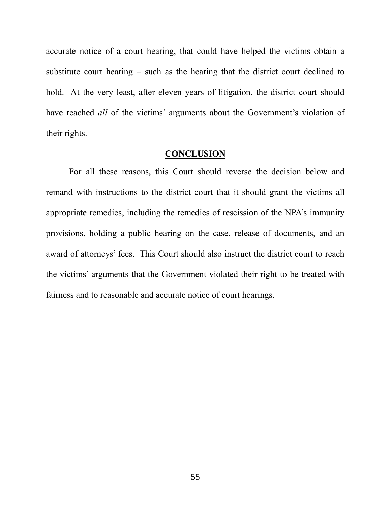accurate notice of a court hearing, that could have helped the victims obtain a substitute court hearing – such as the hearing that the district court declined to hold. At the very least, after eleven years of litigation, the district court should have reached *all* of the victims' arguments about the Government's violation of their rights.

#### **CONCLUSION**

For all these reasons, this Court should reverse the decision below and remand with instructions to the district court that it should grant the victims all appropriate remedies, including the remedies of rescission of the NPA's immunity provisions, holding a public hearing on the case, release of documents, and an award of attorneys' fees. This Court should also instruct the district court to reach the victims' arguments that the Government violated their right to be treated with fairness and to reasonable and accurate notice of court hearings.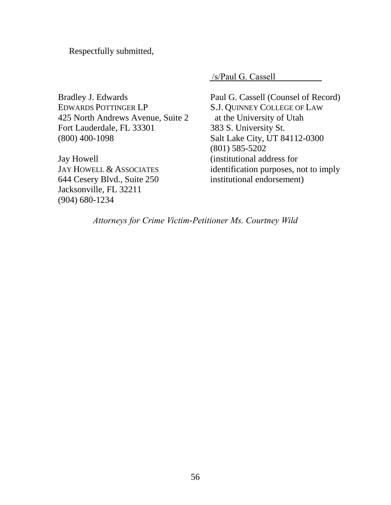Respectfully submitted,

/s/Paul G. Cassell

Bradley J. Edwards EDWARDS POTTINGER LP 425 North Andrews Avenue, Suite 2 Fort Lauderdale, FL 33301 (800) 400-1098

Jay Howell JAY HOWELL & ASSOCIATES 644 Cesery Blvd., Suite 250 Jacksonville, FL 32211 (904) 680-1234

Paul G. Cassell (Counsel of Record) S.J. QUINNEY COLLEGE OF LAW at the University of Utah 383 S. University St. Salt Lake City, UT 84112-0300 (801) 585-5202 (institutional address for identification purposes, not to imply institutional endorsement)

*Attorneys for Crime Victim-Petitioner Ms. Courtney Wild*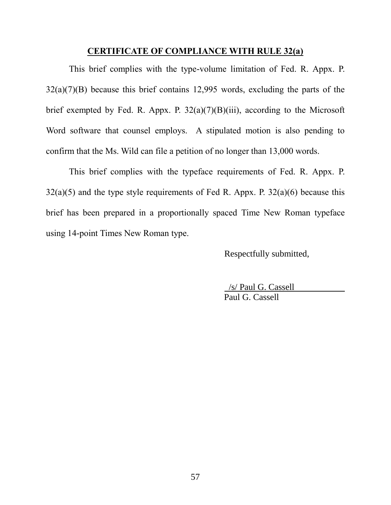#### **CERTIFICATE OF COMPLIANCE WITH RULE 32(a)**

This brief complies with the type-volume limitation of Fed. R. Appx. P. 32(a)(7)(B) because this brief contains 12,995 words, excluding the parts of the brief exempted by Fed. R. Appx. P.  $32(a)(7)(B)(iii)$ , according to the Microsoft Word software that counsel employs. A stipulated motion is also pending to confirm that the Ms. Wild can file a petition of no longer than 13,000 words.

This brief complies with the typeface requirements of Fed. R. Appx. P.  $32(a)(5)$  and the type style requirements of Fed R. Appx. P.  $32(a)(6)$  because this brief has been prepared in a proportionally spaced Time New Roman typeface using 14-point Times New Roman type.

Respectfully submitted,

 /s/ Paul G. Cassell Paul G. Cassell